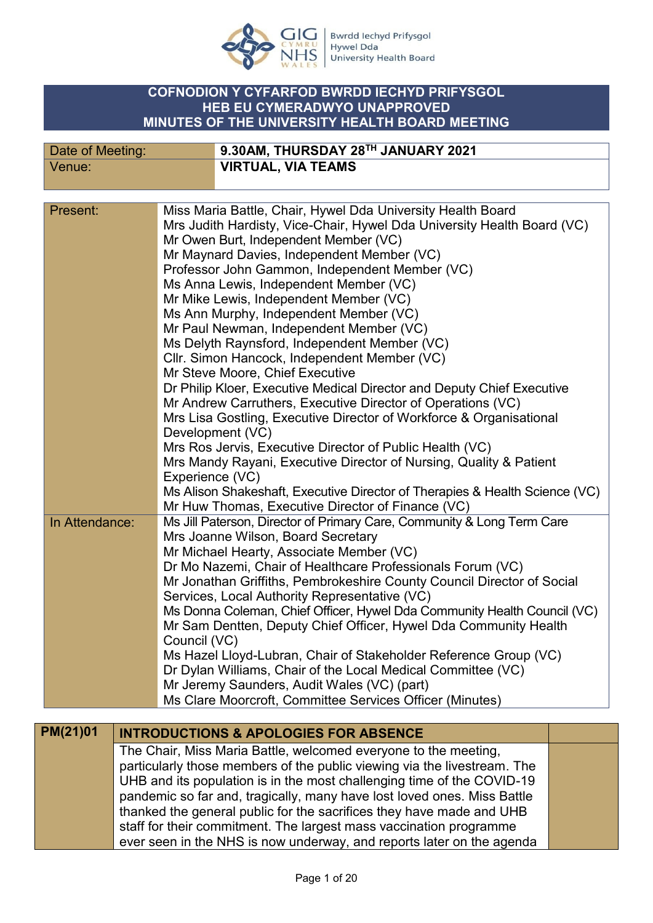

## **COFNODION Y CYFARFOD BWRDD IECHYD PRIFYSGOL HEB EU CYMERADWYO UNAPPROVED MINUTES OF THE UNIVERSITY HEALTH BOARD MEETING**

| Date of Meeting: | 9.30AM, THURSDAY 28TH JANUARY 2021                                          |
|------------------|-----------------------------------------------------------------------------|
| Venue:           | <b>VIRTUAL, VIA TEAMS</b>                                                   |
|                  |                                                                             |
|                  |                                                                             |
| Present:         | Miss Maria Battle, Chair, Hywel Dda University Health Board                 |
|                  | Mrs Judith Hardisty, Vice-Chair, Hywel Dda University Health Board (VC)     |
|                  | Mr Owen Burt, Independent Member (VC)                                       |
|                  | Mr Maynard Davies, Independent Member (VC)                                  |
|                  | Professor John Gammon, Independent Member (VC)                              |
|                  | Ms Anna Lewis, Independent Member (VC)                                      |
|                  | Mr Mike Lewis, Independent Member (VC)                                      |
|                  | Ms Ann Murphy, Independent Member (VC)                                      |
|                  | Mr Paul Newman, Independent Member (VC)                                     |
|                  | Ms Delyth Raynsford, Independent Member (VC)                                |
|                  | Cllr. Simon Hancock, Independent Member (VC)                                |
|                  | Mr Steve Moore, Chief Executive                                             |
|                  | Dr Philip Kloer, Executive Medical Director and Deputy Chief Executive      |
|                  | Mr Andrew Carruthers, Executive Director of Operations (VC)                 |
|                  | Mrs Lisa Gostling, Executive Director of Workforce & Organisational         |
|                  | Development (VC)                                                            |
|                  | Mrs Ros Jervis, Executive Director of Public Health (VC)                    |
|                  | Mrs Mandy Rayani, Executive Director of Nursing, Quality & Patient          |
|                  | Experience (VC)                                                             |
|                  | Ms Alison Shakeshaft, Executive Director of Therapies & Health Science (VC) |
|                  | Mr Huw Thomas, Executive Director of Finance (VC)                           |
| In Attendance:   | Ms Jill Paterson, Director of Primary Care, Community & Long Term Care      |
|                  | Mrs Joanne Wilson, Board Secretary                                          |
|                  | Mr Michael Hearty, Associate Member (VC)                                    |
|                  | Dr Mo Nazemi, Chair of Healthcare Professionals Forum (VC)                  |
|                  | Mr Jonathan Griffiths, Pembrokeshire County Council Director of Social      |
|                  | Services, Local Authority Representative (VC)                               |
|                  | Ms Donna Coleman, Chief Officer, Hywel Dda Community Health Council (VC)    |
|                  | Mr Sam Dentten, Deputy Chief Officer, Hywel Dda Community Health            |
|                  | Council (VC)                                                                |
|                  | Ms Hazel Lloyd-Lubran, Chair of Stakeholder Reference Group (VC)            |
|                  | Dr Dylan Williams, Chair of the Local Medical Committee (VC)                |
|                  | Mr Jeremy Saunders, Audit Wales (VC) (part)                                 |
|                  | Ms Clare Moorcroft, Committee Services Officer (Minutes)                    |
|                  |                                                                             |

| PM(21)01 | <b>INTRODUCTIONS &amp; APOLOGIES FOR ABSENCE</b>                         |  |
|----------|--------------------------------------------------------------------------|--|
|          | The Chair, Miss Maria Battle, welcomed everyone to the meeting,          |  |
|          | particularly those members of the public viewing via the livestream. The |  |
|          | UHB and its population is in the most challenging time of the COVID-19   |  |
|          | pandemic so far and, tragically, many have lost loved ones. Miss Battle  |  |
|          | thanked the general public for the sacrifices they have made and UHB     |  |
|          | staff for their commitment. The largest mass vaccination programme       |  |
|          | ever seen in the NHS is now underway, and reports later on the agenda    |  |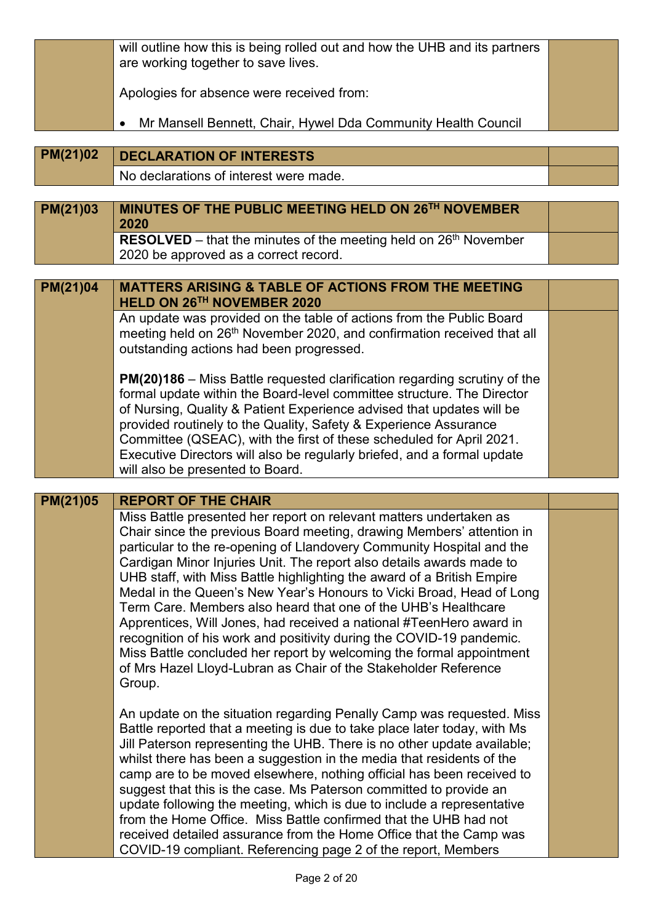|          | will outline how this is being rolled out and how the UHB and its partners<br>are working together to save lives.                                                                                                                                                                                                                                                                                                                                                                                                                                                                                                                                                                                                                                                                                                                                  |  |
|----------|----------------------------------------------------------------------------------------------------------------------------------------------------------------------------------------------------------------------------------------------------------------------------------------------------------------------------------------------------------------------------------------------------------------------------------------------------------------------------------------------------------------------------------------------------------------------------------------------------------------------------------------------------------------------------------------------------------------------------------------------------------------------------------------------------------------------------------------------------|--|
|          | Apologies for absence were received from:                                                                                                                                                                                                                                                                                                                                                                                                                                                                                                                                                                                                                                                                                                                                                                                                          |  |
|          | Mr Mansell Bennett, Chair, Hywel Dda Community Health Council                                                                                                                                                                                                                                                                                                                                                                                                                                                                                                                                                                                                                                                                                                                                                                                      |  |
| PM(21)02 | <b>DECLARATION OF INTERESTS</b>                                                                                                                                                                                                                                                                                                                                                                                                                                                                                                                                                                                                                                                                                                                                                                                                                    |  |
|          | No declarations of interest were made.                                                                                                                                                                                                                                                                                                                                                                                                                                                                                                                                                                                                                                                                                                                                                                                                             |  |
| PM(21)03 | MINUTES OF THE PUBLIC MEETING HELD ON 26TH NOVEMBER<br>2020                                                                                                                                                                                                                                                                                                                                                                                                                                                                                                                                                                                                                                                                                                                                                                                        |  |
|          | <b>RESOLVED</b> – that the minutes of the meeting held on $26th$ November<br>2020 be approved as a correct record.                                                                                                                                                                                                                                                                                                                                                                                                                                                                                                                                                                                                                                                                                                                                 |  |
| PM(21)04 | <b>MATTERS ARISING &amp; TABLE OF ACTIONS FROM THE MEETING</b><br>HELD ON 26TH NOVEMBER 2020                                                                                                                                                                                                                                                                                                                                                                                                                                                                                                                                                                                                                                                                                                                                                       |  |
|          | An update was provided on the table of actions from the Public Board<br>meeting held on 26 <sup>th</sup> November 2020, and confirmation received that all<br>outstanding actions had been progressed.                                                                                                                                                                                                                                                                                                                                                                                                                                                                                                                                                                                                                                             |  |
|          | PM(20)186 - Miss Battle requested clarification regarding scrutiny of the<br>formal update within the Board-level committee structure. The Director<br>of Nursing, Quality & Patient Experience advised that updates will be<br>provided routinely to the Quality, Safety & Experience Assurance<br>Committee (QSEAC), with the first of these scheduled for April 2021.<br>Executive Directors will also be regularly briefed, and a formal update<br>will also be presented to Board.                                                                                                                                                                                                                                                                                                                                                            |  |
|          |                                                                                                                                                                                                                                                                                                                                                                                                                                                                                                                                                                                                                                                                                                                                                                                                                                                    |  |
| PM(21)05 | <b>REPORT OF THE CHAIR</b><br>Miss Battle presented her report on relevant matters undertaken as<br>Chair since the previous Board meeting, drawing Members' attention in<br>particular to the re-opening of Llandovery Community Hospital and the<br>Cardigan Minor Injuries Unit. The report also details awards made to<br>UHB staff, with Miss Battle highlighting the award of a British Empire<br>Medal in the Queen's New Year's Honours to Vicki Broad, Head of Long<br>Term Care. Members also heard that one of the UHB's Healthcare<br>Apprentices, Will Jones, had received a national #TeenHero award in<br>recognition of his work and positivity during the COVID-19 pandemic.<br>Miss Battle concluded her report by welcoming the formal appointment<br>of Mrs Hazel Lloyd-Lubran as Chair of the Stakeholder Reference<br>Group. |  |
|          | An update on the situation regarding Penally Camp was requested. Miss<br>Battle reported that a meeting is due to take place later today, with Ms<br>Jill Paterson representing the UHB. There is no other update available;<br>whilst there has been a suggestion in the media that residents of the<br>camp are to be moved elsewhere, nothing official has been received to<br>suggest that this is the case. Ms Paterson committed to provide an<br>update following the meeting, which is due to include a representative<br>from the Home Office. Miss Battle confirmed that the UHB had not<br>received detailed assurance from the Home Office that the Camp was<br>COVID-19 compliant. Referencing page 2 of the report, Members                                                                                                          |  |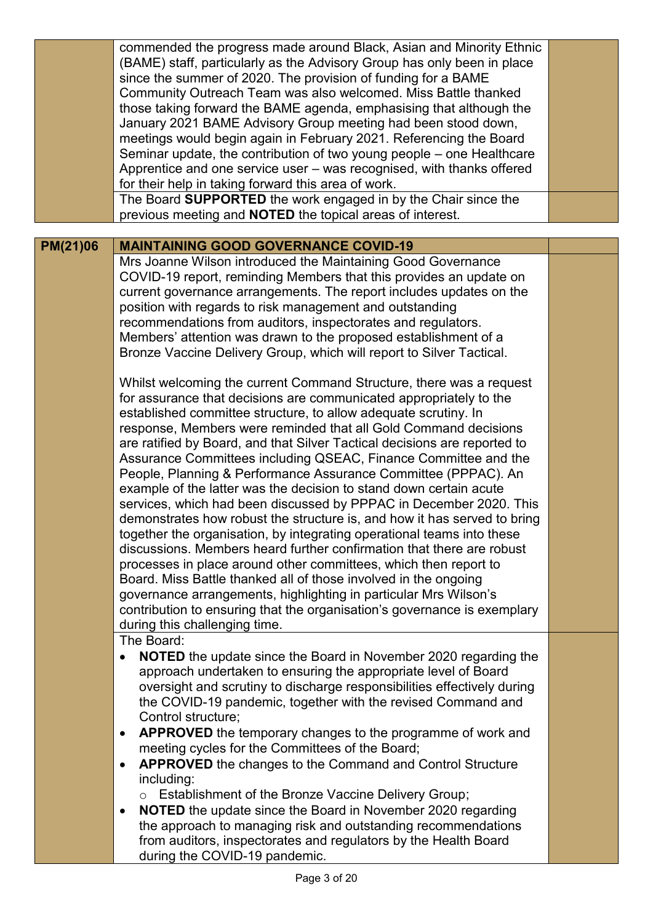|          | commended the progress made around Black, Asian and Minority Ethnic<br>(BAME) staff, particularly as the Advisory Group has only been in place<br>since the summer of 2020. The provision of funding for a BAME<br>Community Outreach Team was also welcomed. Miss Battle thanked<br>those taking forward the BAME agenda, emphasising that although the<br>January 2021 BAME Advisory Group meeting had been stood down,                                                                                                                                                                                                                                                                                                                                                                                                                                                                                                                                                                                                                                                                                                                                           |  |
|----------|---------------------------------------------------------------------------------------------------------------------------------------------------------------------------------------------------------------------------------------------------------------------------------------------------------------------------------------------------------------------------------------------------------------------------------------------------------------------------------------------------------------------------------------------------------------------------------------------------------------------------------------------------------------------------------------------------------------------------------------------------------------------------------------------------------------------------------------------------------------------------------------------------------------------------------------------------------------------------------------------------------------------------------------------------------------------------------------------------------------------------------------------------------------------|--|
|          | meetings would begin again in February 2021. Referencing the Board                                                                                                                                                                                                                                                                                                                                                                                                                                                                                                                                                                                                                                                                                                                                                                                                                                                                                                                                                                                                                                                                                                  |  |
|          | Seminar update, the contribution of two young people – one Healthcare                                                                                                                                                                                                                                                                                                                                                                                                                                                                                                                                                                                                                                                                                                                                                                                                                                                                                                                                                                                                                                                                                               |  |
|          | Apprentice and one service user - was recognised, with thanks offered                                                                                                                                                                                                                                                                                                                                                                                                                                                                                                                                                                                                                                                                                                                                                                                                                                                                                                                                                                                                                                                                                               |  |
|          | for their help in taking forward this area of work.                                                                                                                                                                                                                                                                                                                                                                                                                                                                                                                                                                                                                                                                                                                                                                                                                                                                                                                                                                                                                                                                                                                 |  |
|          | The Board SUPPORTED the work engaged in by the Chair since the<br>previous meeting and <b>NOTED</b> the topical areas of interest.                                                                                                                                                                                                                                                                                                                                                                                                                                                                                                                                                                                                                                                                                                                                                                                                                                                                                                                                                                                                                                  |  |
|          |                                                                                                                                                                                                                                                                                                                                                                                                                                                                                                                                                                                                                                                                                                                                                                                                                                                                                                                                                                                                                                                                                                                                                                     |  |
| PM(21)06 | <b>MAINTAINING GOOD GOVERNANCE COVID-19</b>                                                                                                                                                                                                                                                                                                                                                                                                                                                                                                                                                                                                                                                                                                                                                                                                                                                                                                                                                                                                                                                                                                                         |  |
|          | Mrs Joanne Wilson introduced the Maintaining Good Governance                                                                                                                                                                                                                                                                                                                                                                                                                                                                                                                                                                                                                                                                                                                                                                                                                                                                                                                                                                                                                                                                                                        |  |
|          | COVID-19 report, reminding Members that this provides an update on                                                                                                                                                                                                                                                                                                                                                                                                                                                                                                                                                                                                                                                                                                                                                                                                                                                                                                                                                                                                                                                                                                  |  |
|          | current governance arrangements. The report includes updates on the                                                                                                                                                                                                                                                                                                                                                                                                                                                                                                                                                                                                                                                                                                                                                                                                                                                                                                                                                                                                                                                                                                 |  |
|          | position with regards to risk management and outstanding                                                                                                                                                                                                                                                                                                                                                                                                                                                                                                                                                                                                                                                                                                                                                                                                                                                                                                                                                                                                                                                                                                            |  |
|          | recommendations from auditors, inspectorates and regulators.                                                                                                                                                                                                                                                                                                                                                                                                                                                                                                                                                                                                                                                                                                                                                                                                                                                                                                                                                                                                                                                                                                        |  |
|          | Members' attention was drawn to the proposed establishment of a                                                                                                                                                                                                                                                                                                                                                                                                                                                                                                                                                                                                                                                                                                                                                                                                                                                                                                                                                                                                                                                                                                     |  |
|          | Bronze Vaccine Delivery Group, which will report to Silver Tactical.                                                                                                                                                                                                                                                                                                                                                                                                                                                                                                                                                                                                                                                                                                                                                                                                                                                                                                                                                                                                                                                                                                |  |
|          | Whilst welcoming the current Command Structure, there was a request<br>for assurance that decisions are communicated appropriately to the<br>established committee structure, to allow adequate scrutiny. In<br>response, Members were reminded that all Gold Command decisions<br>are ratified by Board, and that Silver Tactical decisions are reported to<br>Assurance Committees including QSEAC, Finance Committee and the<br>People, Planning & Performance Assurance Committee (PPPAC). An<br>example of the latter was the decision to stand down certain acute<br>services, which had been discussed by PPPAC in December 2020. This<br>demonstrates how robust the structure is, and how it has served to bring<br>together the organisation, by integrating operational teams into these<br>discussions. Members heard further confirmation that there are robust<br>processes in place around other committees, which then report to<br>Board. Miss Battle thanked all of those involved in the ongoing<br>governance arrangements, highlighting in particular Mrs Wilson's<br>contribution to ensuring that the organisation's governance is exemplary |  |
|          | during this challenging time.<br>The Board:                                                                                                                                                                                                                                                                                                                                                                                                                                                                                                                                                                                                                                                                                                                                                                                                                                                                                                                                                                                                                                                                                                                         |  |
|          | <b>NOTED</b> the update since the Board in November 2020 regarding the<br>$\bullet$<br>approach undertaken to ensuring the appropriate level of Board<br>oversight and scrutiny to discharge responsibilities effectively during                                                                                                                                                                                                                                                                                                                                                                                                                                                                                                                                                                                                                                                                                                                                                                                                                                                                                                                                    |  |
|          | the COVID-19 pandemic, together with the revised Command and<br>Control structure;                                                                                                                                                                                                                                                                                                                                                                                                                                                                                                                                                                                                                                                                                                                                                                                                                                                                                                                                                                                                                                                                                  |  |
|          | APPROVED the temporary changes to the programme of work and<br>٠                                                                                                                                                                                                                                                                                                                                                                                                                                                                                                                                                                                                                                                                                                                                                                                                                                                                                                                                                                                                                                                                                                    |  |
|          | meeting cycles for the Committees of the Board;                                                                                                                                                                                                                                                                                                                                                                                                                                                                                                                                                                                                                                                                                                                                                                                                                                                                                                                                                                                                                                                                                                                     |  |
|          | <b>APPROVED</b> the changes to the Command and Control Structure<br>$\bullet$                                                                                                                                                                                                                                                                                                                                                                                                                                                                                                                                                                                                                                                                                                                                                                                                                                                                                                                                                                                                                                                                                       |  |
|          | including:                                                                                                                                                                                                                                                                                                                                                                                                                                                                                                                                                                                                                                                                                                                                                                                                                                                                                                                                                                                                                                                                                                                                                          |  |
|          | Establishment of the Bronze Vaccine Delivery Group;                                                                                                                                                                                                                                                                                                                                                                                                                                                                                                                                                                                                                                                                                                                                                                                                                                                                                                                                                                                                                                                                                                                 |  |
|          | <b>NOTED</b> the update since the Board in November 2020 regarding<br>$\bullet$                                                                                                                                                                                                                                                                                                                                                                                                                                                                                                                                                                                                                                                                                                                                                                                                                                                                                                                                                                                                                                                                                     |  |
|          | the approach to managing risk and outstanding recommendations<br>from auditors, inspectorates and regulators by the Health Board                                                                                                                                                                                                                                                                                                                                                                                                                                                                                                                                                                                                                                                                                                                                                                                                                                                                                                                                                                                                                                    |  |
|          | during the COVID-19 pandemic.                                                                                                                                                                                                                                                                                                                                                                                                                                                                                                                                                                                                                                                                                                                                                                                                                                                                                                                                                                                                                                                                                                                                       |  |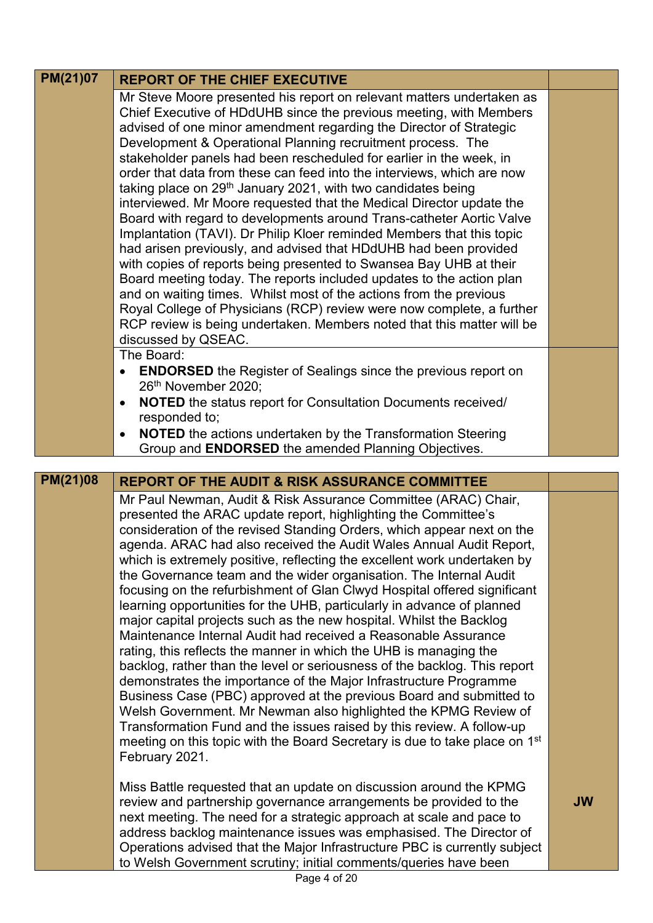| <b>PM(21)07</b> | <b>REPORT OF THE CHIEF EXECUTIVE</b>                                                                                                               |           |
|-----------------|----------------------------------------------------------------------------------------------------------------------------------------------------|-----------|
|                 | Mr Steve Moore presented his report on relevant matters undertaken as                                                                              |           |
|                 | Chief Executive of HDdUHB since the previous meeting, with Members                                                                                 |           |
|                 | advised of one minor amendment regarding the Director of Strategic                                                                                 |           |
|                 | Development & Operational Planning recruitment process. The                                                                                        |           |
|                 | stakeholder panels had been rescheduled for earlier in the week, in                                                                                |           |
|                 | order that data from these can feed into the interviews, which are now<br>taking place on 29 <sup>th</sup> January 2021, with two candidates being |           |
|                 | interviewed. Mr Moore requested that the Medical Director update the                                                                               |           |
|                 | Board with regard to developments around Trans-catheter Aortic Valve                                                                               |           |
|                 | Implantation (TAVI). Dr Philip Kloer reminded Members that this topic                                                                              |           |
|                 | had arisen previously, and advised that HDdUHB had been provided                                                                                   |           |
|                 | with copies of reports being presented to Swansea Bay UHB at their                                                                                 |           |
|                 | Board meeting today. The reports included updates to the action plan                                                                               |           |
|                 | and on waiting times. Whilst most of the actions from the previous                                                                                 |           |
|                 | Royal College of Physicians (RCP) review were now complete, a further                                                                              |           |
|                 | RCP review is being undertaken. Members noted that this matter will be                                                                             |           |
|                 | discussed by QSEAC.<br>The Board:                                                                                                                  |           |
|                 | <b>ENDORSED</b> the Register of Sealings since the previous report on<br>$\bullet$                                                                 |           |
|                 | 26th November 2020;                                                                                                                                |           |
|                 | NOTED the status report for Consultation Documents received/<br>$\bullet$                                                                          |           |
|                 | responded to;                                                                                                                                      |           |
|                 | <b>NOTED</b> the actions undertaken by the Transformation Steering<br>$\bullet$                                                                    |           |
|                 | Group and <b>ENDORSED</b> the amended Planning Objectives.                                                                                         |           |
|                 |                                                                                                                                                    |           |
| PM(21)08        | <b>REPORT OF THE AUDIT &amp; RISK ASSURANCE COMMITTEE</b>                                                                                          |           |
|                 | Mr Paul Newman, Audit & Risk Assurance Committee (ARAC) Chair,                                                                                     |           |
|                 | presented the ARAC update report, highlighting the Committee's                                                                                     |           |
|                 | consideration of the revised Standing Orders, which appear next on the<br>agenda. ARAC had also received the Audit Wales Annual Audit Report,      |           |
|                 |                                                                                                                                                    |           |
|                 |                                                                                                                                                    |           |
|                 | which is extremely positive, reflecting the excellent work undertaken by                                                                           |           |
|                 | the Governance team and the wider organisation. The Internal Audit                                                                                 |           |
|                 | focusing on the refurbishment of Glan Clwyd Hospital offered significant                                                                           |           |
|                 | learning opportunities for the UHB, particularly in advance of planned<br>major capital projects such as the new hospital. Whilst the Backlog      |           |
|                 | Maintenance Internal Audit had received a Reasonable Assurance                                                                                     |           |
|                 | rating, this reflects the manner in which the UHB is managing the                                                                                  |           |
|                 | backlog, rather than the level or seriousness of the backlog. This report                                                                          |           |
|                 | demonstrates the importance of the Major Infrastructure Programme                                                                                  |           |
|                 | Business Case (PBC) approved at the previous Board and submitted to                                                                                |           |
|                 | Welsh Government. Mr Newman also highlighted the KPMG Review of                                                                                    |           |
|                 | Transformation Fund and the issues raised by this review. A follow-up                                                                              |           |
|                 | meeting on this topic with the Board Secretary is due to take place on 1st                                                                         |           |
|                 | February 2021.                                                                                                                                     |           |
|                 | Miss Battle requested that an update on discussion around the KPMG                                                                                 |           |
|                 | review and partnership governance arrangements be provided to the                                                                                  | <b>JW</b> |
|                 | next meeting. The need for a strategic approach at scale and pace to                                                                               |           |
|                 | address backlog maintenance issues was emphasised. The Director of                                                                                 |           |
|                 | Operations advised that the Major Infrastructure PBC is currently subject<br>to Welsh Government scrutiny; initial comments/queries have been      |           |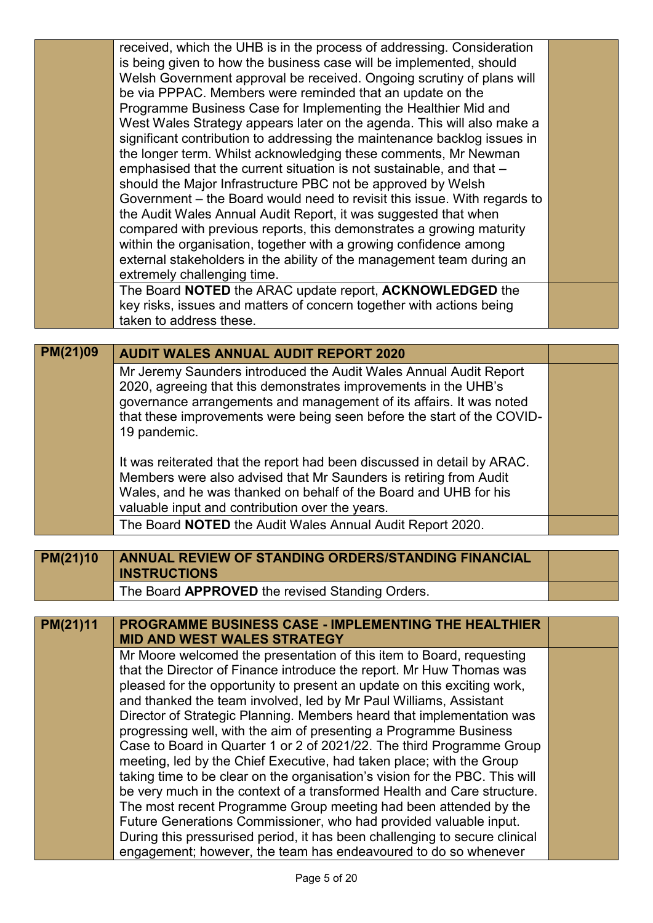|          | received, which the UHB is in the process of addressing. Consideration      |  |
|----------|-----------------------------------------------------------------------------|--|
|          | is being given to how the business case will be implemented, should         |  |
|          | Welsh Government approval be received. Ongoing scrutiny of plans will       |  |
|          | be via PPPAC. Members were reminded that an update on the                   |  |
|          | Programme Business Case for Implementing the Healthier Mid and              |  |
|          | West Wales Strategy appears later on the agenda. This will also make a      |  |
|          | significant contribution to addressing the maintenance backlog issues in    |  |
|          | the longer term. Whilst acknowledging these comments, Mr Newman             |  |
|          | emphasised that the current situation is not sustainable, and that -        |  |
|          | should the Major Infrastructure PBC not be approved by Welsh                |  |
|          | Government – the Board would need to revisit this issue. With regards to    |  |
|          | the Audit Wales Annual Audit Report, it was suggested that when             |  |
|          | compared with previous reports, this demonstrates a growing maturity        |  |
|          | within the organisation, together with a growing confidence among           |  |
|          | external stakeholders in the ability of the management team during an       |  |
|          | extremely challenging time.                                                 |  |
|          | The Board NOTED the ARAC update report, ACKNOWLEDGED the                    |  |
|          | key risks, issues and matters of concern together with actions being        |  |
|          | taken to address these.                                                     |  |
|          |                                                                             |  |
| PM(21)09 | <b>AUDIT WALES ANNUAL AUDIT REPORT 2020</b>                                 |  |
|          | Mr Jeremy Saunders introduced the Audit Wales Annual Audit Report           |  |
|          | 2020, agreeing that this demonstrates improvements in the UHB's             |  |
|          | governance arrangements and management of its affairs. It was noted         |  |
|          | that these improvements were being seen before the start of the COVID-      |  |
|          | 19 pandemic.                                                                |  |
|          | It was reiterated that the report had been discussed in detail by ARAC.     |  |
|          | Members were also advised that Mr Saunders is retiring from Audit           |  |
|          | Wales, and he was thanked on behalf of the Board and UHB for his            |  |
|          | valuable input and contribution over the years.                             |  |
|          | The Board NOTED the Audit Wales Annual Audit Report 2020.                   |  |
|          |                                                                             |  |
| PM(21)10 | <b>ANNUAL REVIEW OF STANDING ORDERS/STANDING FINANCIAL</b>                  |  |
|          | <b>INSTRUCTIONS</b>                                                         |  |
|          | The Board APPROVED the revised Standing Orders.                             |  |
|          |                                                                             |  |
| PM(21)11 | <b>PROGRAMME BUSINESS CASE - IMPLEMENTING THE HEALTHIER</b>                 |  |
|          | <b>MID AND WEST WALES STRATEGY</b>                                          |  |
|          | Mr Moore welcomed the presentation of this item to Board, requesting        |  |
|          | that the Director of Finance introduce the report. Mr Huw Thomas was        |  |
|          | pleased for the opportunity to present an update on this exciting work,     |  |
|          | and thanked the team involved, led by Mr Paul Williams, Assistant           |  |
|          | Director of Strategic Planning. Members heard that implementation was       |  |
|          | progressing well, with the aim of presenting a Programme Business           |  |
|          | Case to Board in Quarter 1 or 2 of 2021/22. The third Programme Group       |  |
|          | meeting, led by the Chief Executive, had taken place; with the Group        |  |
|          | taking time to be clear on the organisation's vision for the PBC. This will |  |
|          | be very much in the context of a transformed Health and Care structure.     |  |
|          | The most recent Programme Group meeting had been attended by the            |  |
|          | Future Generations Commissioner, who had provided valuable input.           |  |
|          | During this pressurised period, it has been challenging to secure clinical  |  |
|          | engagement; however, the team has endeavoured to do so whenever             |  |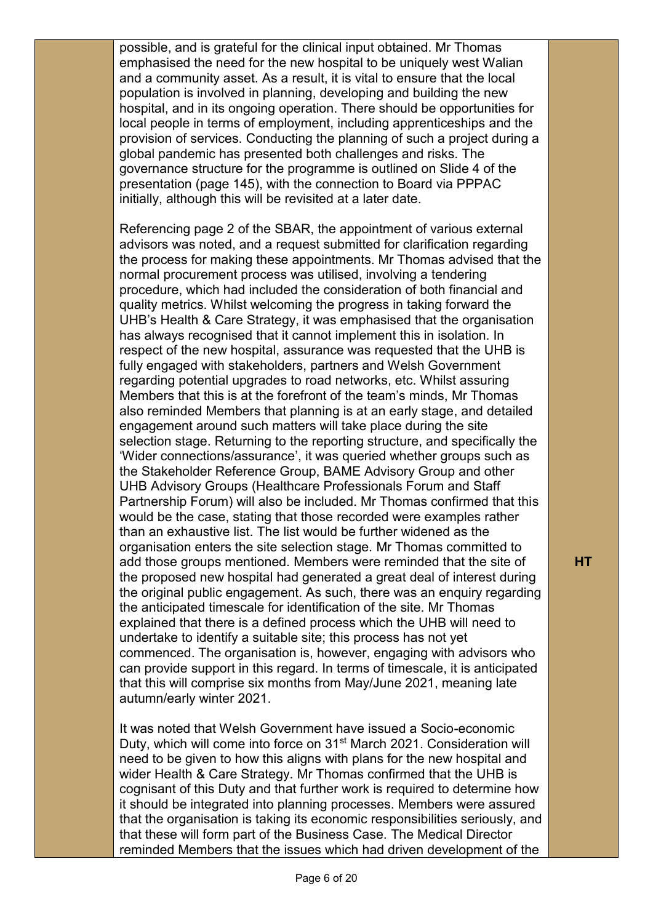possible, and is grateful for the clinical input obtained. Mr Thomas emphasised the need for the new hospital to be uniquely west Walian and a community asset. As a result, it is vital to ensure that the local population is involved in planning, developing and building the new hospital, and in its ongoing operation. There should be opportunities for local people in terms of employment, including apprenticeships and the provision of services. Conducting the planning of such a project during a global pandemic has presented both challenges and risks. The governance structure for the programme is outlined on Slide 4 of the presentation (page 145), with the connection to Board via PPPAC initially, although this will be revisited at a later date.

Referencing page 2 of the SBAR, the appointment of various external advisors was noted, and a request submitted for clarification regarding the process for making these appointments. Mr Thomas advised that the normal procurement process was utilised, involving a tendering procedure, which had included the consideration of both financial and quality metrics. Whilst welcoming the progress in taking forward the UHB's Health & Care Strategy, it was emphasised that the organisation has always recognised that it cannot implement this in isolation. In respect of the new hospital, assurance was requested that the UHB is fully engaged with stakeholders, partners and Welsh Government regarding potential upgrades to road networks, etc. Whilst assuring Members that this is at the forefront of the team's minds, Mr Thomas also reminded Members that planning is at an early stage, and detailed engagement around such matters will take place during the site selection stage. Returning to the reporting structure, and specifically the 'Wider connections/assurance', it was queried whether groups such as the Stakeholder Reference Group, BAME Advisory Group and other UHB Advisory Groups (Healthcare Professionals Forum and Staff Partnership Forum) will also be included. Mr Thomas confirmed that this would be the case, stating that those recorded were examples rather than an exhaustive list. The list would be further widened as the organisation enters the site selection stage. Mr Thomas committed to add those groups mentioned. Members were reminded that the site of the proposed new hospital had generated a great deal of interest during the original public engagement. As such, there was an enquiry regarding the anticipated timescale for identification of the site. Mr Thomas explained that there is a defined process which the UHB will need to undertake to identify a suitable site; this process has not yet commenced. The organisation is, however, engaging with advisors who can provide support in this regard. In terms of timescale, it is anticipated that this will comprise six months from May/June 2021, meaning late autumn/early winter 2021.

It was noted that Welsh Government have issued a Socio-economic Duty, which will come into force on 31<sup>st</sup> March 2021. Consideration will need to be given to how this aligns with plans for the new hospital and wider Health & Care Strategy. Mr Thomas confirmed that the UHB is cognisant of this Duty and that further work is required to determine how it should be integrated into planning processes. Members were assured that the organisation is taking its economic responsibilities seriously, and that these will form part of the Business Case. The Medical Director reminded Members that the issues which had driven development of the

**HT**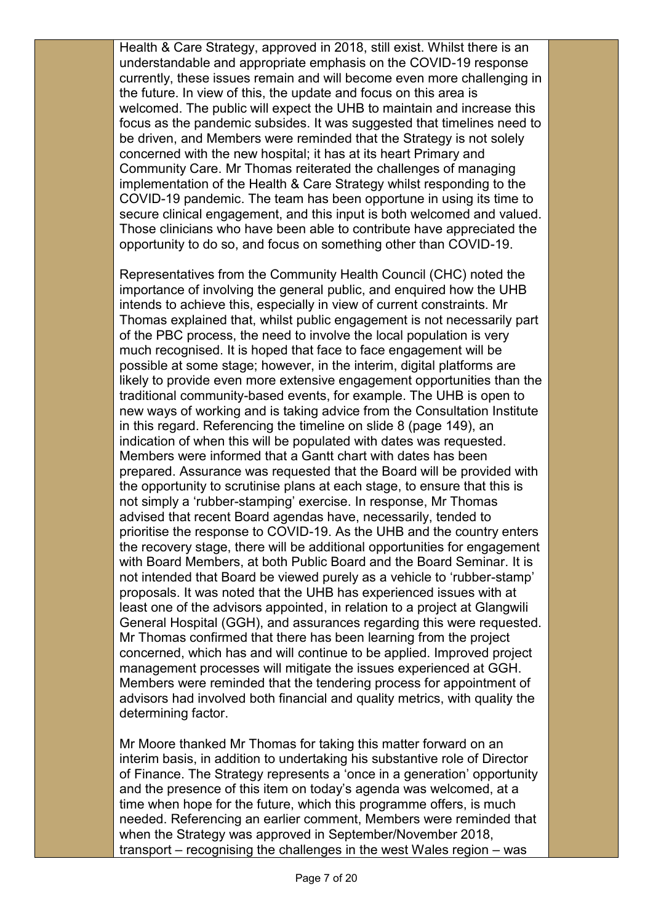Health & Care Strategy, approved in 2018, still exist. Whilst there is an understandable and appropriate emphasis on the COVID-19 response currently, these issues remain and will become even more challenging in the future. In view of this, the update and focus on this area is welcomed. The public will expect the UHB to maintain and increase this focus as the pandemic subsides. It was suggested that timelines need to be driven, and Members were reminded that the Strategy is not solely concerned with the new hospital; it has at its heart Primary and Community Care. Mr Thomas reiterated the challenges of managing implementation of the Health & Care Strategy whilst responding to the COVID-19 pandemic. The team has been opportune in using its time to secure clinical engagement, and this input is both welcomed and valued. Those clinicians who have been able to contribute have appreciated the opportunity to do so, and focus on something other than COVID-19.

Representatives from the Community Health Council (CHC) noted the importance of involving the general public, and enquired how the UHB intends to achieve this, especially in view of current constraints. Mr Thomas explained that, whilst public engagement is not necessarily part of the PBC process, the need to involve the local population is very much recognised. It is hoped that face to face engagement will be possible at some stage; however, in the interim, digital platforms are likely to provide even more extensive engagement opportunities than the traditional community-based events, for example. The UHB is open to new ways of working and is taking advice from the Consultation Institute in this regard. Referencing the timeline on slide 8 (page 149), an indication of when this will be populated with dates was requested. Members were informed that a Gantt chart with dates has been prepared. Assurance was requested that the Board will be provided with the opportunity to scrutinise plans at each stage, to ensure that this is not simply a 'rubber-stamping' exercise. In response, Mr Thomas advised that recent Board agendas have, necessarily, tended to prioritise the response to COVID-19. As the UHB and the country enters the recovery stage, there will be additional opportunities for engagement with Board Members, at both Public Board and the Board Seminar. It is not intended that Board be viewed purely as a vehicle to 'rubber-stamp' proposals. It was noted that the UHB has experienced issues with at least one of the advisors appointed, in relation to a project at Glangwili General Hospital (GGH), and assurances regarding this were requested. Mr Thomas confirmed that there has been learning from the project concerned, which has and will continue to be applied. Improved project management processes will mitigate the issues experienced at GGH. Members were reminded that the tendering process for appointment of advisors had involved both financial and quality metrics, with quality the determining factor.

Mr Moore thanked Mr Thomas for taking this matter forward on an interim basis, in addition to undertaking his substantive role of Director of Finance. The Strategy represents a 'once in a generation' opportunity and the presence of this item on today's agenda was welcomed, at a time when hope for the future, which this programme offers, is much needed. Referencing an earlier comment, Members were reminded that when the Strategy was approved in September/November 2018, transport – recognising the challenges in the west Wales region – was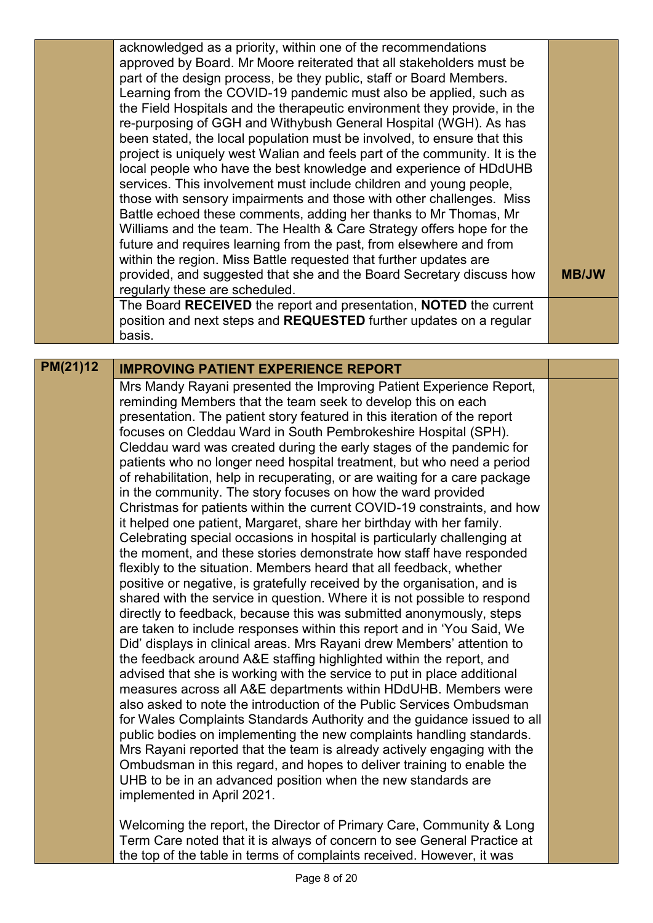|          | acknowledged as a priority, within one of the recommendations<br>approved by Board. Mr Moore reiterated that all stakeholders must be<br>part of the design process, be they public, staff or Board Members.<br>Learning from the COVID-19 pandemic must also be applied, such as<br>the Field Hospitals and the therapeutic environment they provide, in the<br>re-purposing of GGH and Withybush General Hospital (WGH). As has<br>been stated, the local population must be involved, to ensure that this<br>project is uniquely west Walian and feels part of the community. It is the<br>local people who have the best knowledge and experience of HDdUHB<br>services. This involvement must include children and young people,                                                                                                                                                                                                                                                                                                                                                                                                                                                                                                                                                                                                                                                                                                                                                                                                                                                                                                                                                                                                                                                                                                                                                                                                                                                                                                             |              |
|----------|---------------------------------------------------------------------------------------------------------------------------------------------------------------------------------------------------------------------------------------------------------------------------------------------------------------------------------------------------------------------------------------------------------------------------------------------------------------------------------------------------------------------------------------------------------------------------------------------------------------------------------------------------------------------------------------------------------------------------------------------------------------------------------------------------------------------------------------------------------------------------------------------------------------------------------------------------------------------------------------------------------------------------------------------------------------------------------------------------------------------------------------------------------------------------------------------------------------------------------------------------------------------------------------------------------------------------------------------------------------------------------------------------------------------------------------------------------------------------------------------------------------------------------------------------------------------------------------------------------------------------------------------------------------------------------------------------------------------------------------------------------------------------------------------------------------------------------------------------------------------------------------------------------------------------------------------------------------------------------------------------------------------------------------------------|--------------|
|          | those with sensory impairments and those with other challenges. Miss<br>Battle echoed these comments, adding her thanks to Mr Thomas, Mr<br>Williams and the team. The Health & Care Strategy offers hope for the                                                                                                                                                                                                                                                                                                                                                                                                                                                                                                                                                                                                                                                                                                                                                                                                                                                                                                                                                                                                                                                                                                                                                                                                                                                                                                                                                                                                                                                                                                                                                                                                                                                                                                                                                                                                                                 |              |
|          | future and requires learning from the past, from elsewhere and from                                                                                                                                                                                                                                                                                                                                                                                                                                                                                                                                                                                                                                                                                                                                                                                                                                                                                                                                                                                                                                                                                                                                                                                                                                                                                                                                                                                                                                                                                                                                                                                                                                                                                                                                                                                                                                                                                                                                                                               |              |
|          | within the region. Miss Battle requested that further updates are<br>provided, and suggested that she and the Board Secretary discuss how<br>regularly these are scheduled.                                                                                                                                                                                                                                                                                                                                                                                                                                                                                                                                                                                                                                                                                                                                                                                                                                                                                                                                                                                                                                                                                                                                                                                                                                                                                                                                                                                                                                                                                                                                                                                                                                                                                                                                                                                                                                                                       | <b>MB/JW</b> |
|          | The Board RECEIVED the report and presentation, NOTED the current<br>position and next steps and REQUESTED further updates on a regular<br>basis.                                                                                                                                                                                                                                                                                                                                                                                                                                                                                                                                                                                                                                                                                                                                                                                                                                                                                                                                                                                                                                                                                                                                                                                                                                                                                                                                                                                                                                                                                                                                                                                                                                                                                                                                                                                                                                                                                                 |              |
|          |                                                                                                                                                                                                                                                                                                                                                                                                                                                                                                                                                                                                                                                                                                                                                                                                                                                                                                                                                                                                                                                                                                                                                                                                                                                                                                                                                                                                                                                                                                                                                                                                                                                                                                                                                                                                                                                                                                                                                                                                                                                   |              |
| PM(21)12 | <b>IMPROVING PATIENT EXPERIENCE REPORT</b>                                                                                                                                                                                                                                                                                                                                                                                                                                                                                                                                                                                                                                                                                                                                                                                                                                                                                                                                                                                                                                                                                                                                                                                                                                                                                                                                                                                                                                                                                                                                                                                                                                                                                                                                                                                                                                                                                                                                                                                                        |              |
|          | Mrs Mandy Rayani presented the Improving Patient Experience Report,<br>reminding Members that the team seek to develop this on each<br>presentation. The patient story featured in this iteration of the report<br>focuses on Cleddau Ward in South Pembrokeshire Hospital (SPH).<br>Cleddau ward was created during the early stages of the pandemic for<br>patients who no longer need hospital treatment, but who need a period<br>of rehabilitation, help in recuperating, or are waiting for a care package<br>in the community. The story focuses on how the ward provided<br>Christmas for patients within the current COVID-19 constraints, and how<br>it helped one patient, Margaret, share her birthday with her family.<br>Celebrating special occasions in hospital is particularly challenging at<br>the moment, and these stories demonstrate how staff have responded<br>flexibly to the situation. Members heard that all feedback, whether<br>positive or negative, is gratefully received by the organisation, and is<br>shared with the service in question. Where it is not possible to respond<br>directly to feedback, because this was submitted anonymously, steps<br>are taken to include responses within this report and in 'You Said, We<br>Did' displays in clinical areas. Mrs Rayani drew Members' attention to<br>the feedback around A&E staffing highlighted within the report, and<br>advised that she is working with the service to put in place additional<br>measures across all A&E departments within HDdUHB. Members were<br>also asked to note the introduction of the Public Services Ombudsman<br>for Wales Complaints Standards Authority and the guidance issued to all<br>public bodies on implementing the new complaints handling standards.<br>Mrs Rayani reported that the team is already actively engaging with the<br>Ombudsman in this regard, and hopes to deliver training to enable the<br>UHB to be in an advanced position when the new standards are<br>implemented in April 2021. |              |
|          | Welcoming the report, the Director of Primary Care, Community & Long<br>Term Care noted that it is always of concern to see General Practice at<br>the top of the table in terms of complaints received. However, it was                                                                                                                                                                                                                                                                                                                                                                                                                                                                                                                                                                                                                                                                                                                                                                                                                                                                                                                                                                                                                                                                                                                                                                                                                                                                                                                                                                                                                                                                                                                                                                                                                                                                                                                                                                                                                          |              |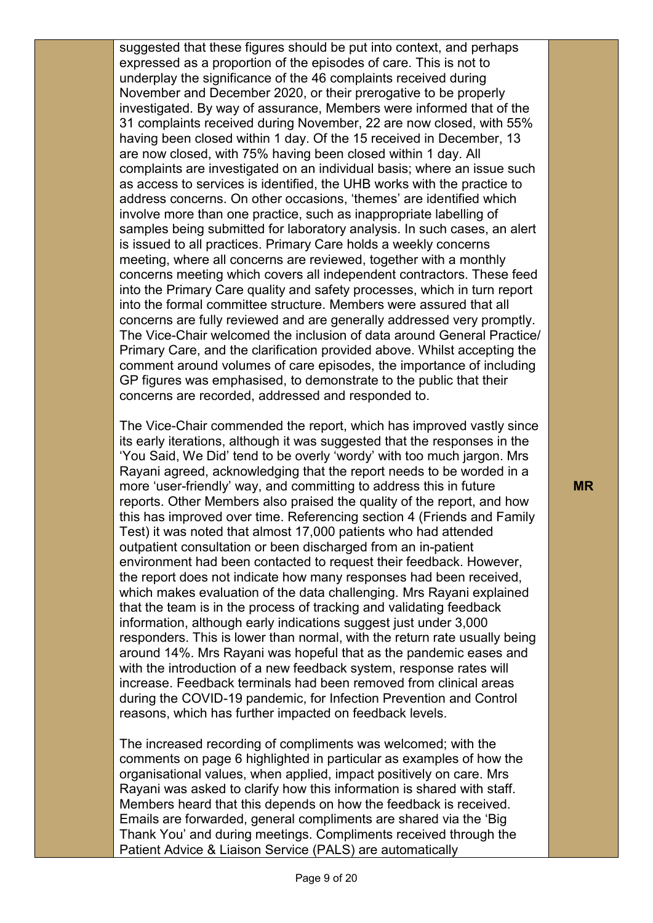suggested that these figures should be put into context, and perhaps expressed as a proportion of the episodes of care. This is not to underplay the significance of the 46 complaints received during November and December 2020, or their prerogative to be properly investigated. By way of assurance, Members were informed that of the 31 complaints received during November, 22 are now closed, with 55% having been closed within 1 day. Of the 15 received in December, 13 are now closed, with 75% having been closed within 1 day. All complaints are investigated on an individual basis; where an issue such as access to services is identified, the UHB works with the practice to address concerns. On other occasions, 'themes' are identified which involve more than one practice, such as inappropriate labelling of samples being submitted for laboratory analysis. In such cases, an alert is issued to all practices. Primary Care holds a weekly concerns meeting, where all concerns are reviewed, together with a monthly concerns meeting which covers all independent contractors. These feed into the Primary Care quality and safety processes, which in turn report into the formal committee structure. Members were assured that all concerns are fully reviewed and are generally addressed very promptly. The Vice-Chair welcomed the inclusion of data around General Practice/ Primary Care, and the clarification provided above. Whilst accepting the comment around volumes of care episodes, the importance of including GP figures was emphasised, to demonstrate to the public that their concerns are recorded, addressed and responded to.

The Vice-Chair commended the report, which has improved vastly since its early iterations, although it was suggested that the responses in the 'You Said, We Did' tend to be overly 'wordy' with too much jargon. Mrs Rayani agreed, acknowledging that the report needs to be worded in a more 'user-friendly' way, and committing to address this in future reports. Other Members also praised the quality of the report, and how this has improved over time. Referencing section 4 (Friends and Family Test) it was noted that almost 17,000 patients who had attended outpatient consultation or been discharged from an in-patient environment had been contacted to request their feedback. However, the report does not indicate how many responses had been received, which makes evaluation of the data challenging. Mrs Rayani explained that the team is in the process of tracking and validating feedback information, although early indications suggest just under 3,000 responders. This is lower than normal, with the return rate usually being around 14%. Mrs Rayani was hopeful that as the pandemic eases and with the introduction of a new feedback system, response rates will increase. Feedback terminals had been removed from clinical areas during the COVID-19 pandemic, for Infection Prevention and Control reasons, which has further impacted on feedback levels.

The increased recording of compliments was welcomed; with the comments on page 6 highlighted in particular as examples of how the organisational values, when applied, impact positively on care. Mrs Rayani was asked to clarify how this information is shared with staff. Members heard that this depends on how the feedback is received. Emails are forwarded, general compliments are shared via the 'Big Thank You' and during meetings. Compliments received through the Patient Advice & Liaison Service (PALS) are automatically

**MR**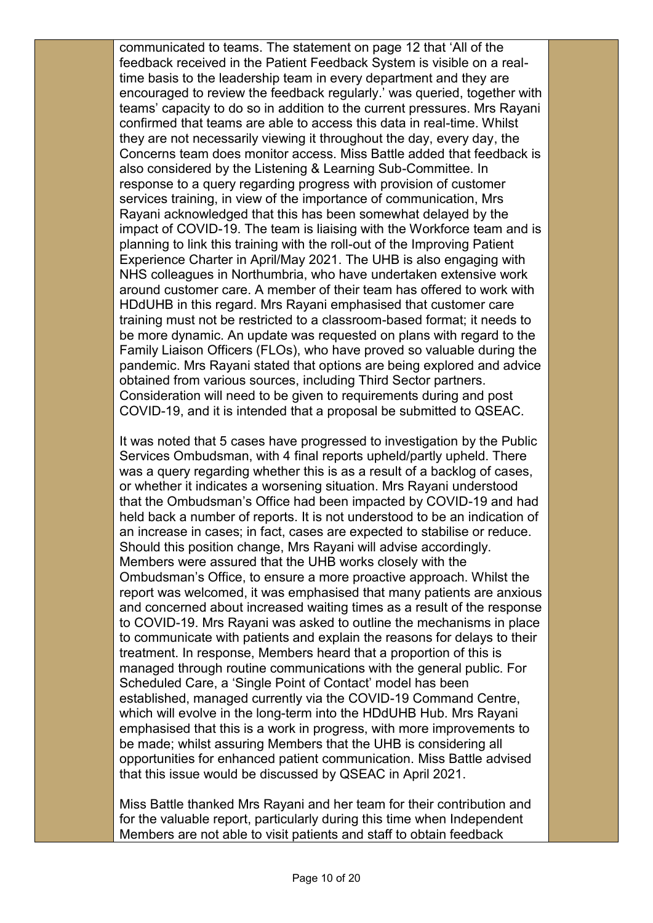communicated to teams. The statement on page 12 that 'All of the feedback received in the Patient Feedback System is visible on a realtime basis to the leadership team in every department and they are encouraged to review the feedback regularly.' was queried, together with teams' capacity to do so in addition to the current pressures. Mrs Rayani confirmed that teams are able to access this data in real-time. Whilst they are not necessarily viewing it throughout the day, every day, the Concerns team does monitor access. Miss Battle added that feedback is also considered by the Listening & Learning Sub-Committee. In response to a query regarding progress with provision of customer services training, in view of the importance of communication, Mrs Rayani acknowledged that this has been somewhat delayed by the impact of COVID-19. The team is liaising with the Workforce team and is planning to link this training with the roll-out of the Improving Patient Experience Charter in April/May 2021. The UHB is also engaging with NHS colleagues in Northumbria, who have undertaken extensive work around customer care. A member of their team has offered to work with HDdUHB in this regard. Mrs Rayani emphasised that customer care training must not be restricted to a classroom-based format; it needs to be more dynamic. An update was requested on plans with regard to the Family Liaison Officers (FLOs), who have proved so valuable during the pandemic. Mrs Rayani stated that options are being explored and advice obtained from various sources, including Third Sector partners. Consideration will need to be given to requirements during and post COVID-19, and it is intended that a proposal be submitted to QSEAC.

It was noted that 5 cases have progressed to investigation by the Public Services Ombudsman, with 4 final reports upheld/partly upheld. There was a query regarding whether this is as a result of a backlog of cases, or whether it indicates a worsening situation. Mrs Rayani understood that the Ombudsman's Office had been impacted by COVID-19 and had held back a number of reports. It is not understood to be an indication of an increase in cases; in fact, cases are expected to stabilise or reduce. Should this position change, Mrs Rayani will advise accordingly. Members were assured that the UHB works closely with the Ombudsman's Office, to ensure a more proactive approach. Whilst the report was welcomed, it was emphasised that many patients are anxious and concerned about increased waiting times as a result of the response to COVID-19. Mrs Rayani was asked to outline the mechanisms in place to communicate with patients and explain the reasons for delays to their treatment. In response, Members heard that a proportion of this is managed through routine communications with the general public. For Scheduled Care, a 'Single Point of Contact' model has been established, managed currently via the COVID-19 Command Centre, which will evolve in the long-term into the HDdUHB Hub. Mrs Rayani emphasised that this is a work in progress, with more improvements to be made; whilst assuring Members that the UHB is considering all opportunities for enhanced patient communication. Miss Battle advised that this issue would be discussed by QSEAC in April 2021.

Miss Battle thanked Mrs Rayani and her team for their contribution and for the valuable report, particularly during this time when Independent Members are not able to visit patients and staff to obtain feedback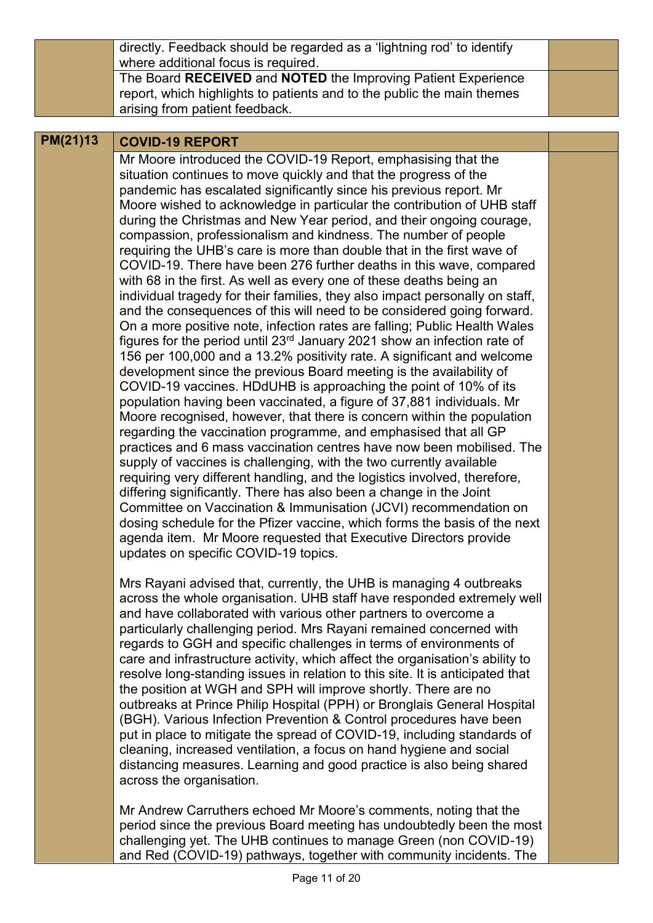directly. Feedback should be regarded as a 'lightning rod' to identify where additional focus is required. The Board **RECEIVED** and **NOTED** the Improving Patient Experience report, which highlights to patients and to the public the main themes arising from patient feedback.

## **PM(21)13 COVID-19 REPORT**

Mr Moore introduced the COVID-19 Report, emphasising that the situation continues to move quickly and that the progress of the pandemic has escalated significantly since his previous report. Mr Moore wished to acknowledge in particular the contribution of UHB staff during the Christmas and New Year period, and their ongoing courage, compassion, professionalism and kindness. The number of people requiring the UHB's care is more than double that in the first wave of COVID-19. There have been 276 further deaths in this wave, compared with 68 in the first. As well as every one of these deaths being an individual tragedy for their families, they also impact personally on staff, and the consequences of this will need to be considered going forward. On a more positive note, infection rates are falling; Public Health Wales figures for the period until 23rd January 2021 show an infection rate of 156 per 100,000 and a 13.2% positivity rate. A significant and welcome development since the previous Board meeting is the availability of COVID-19 vaccines. HDdUHB is approaching the point of 10% of its population having been vaccinated, a figure of 37,881 individuals. Mr Moore recognised, however, that there is concern within the population regarding the vaccination programme, and emphasised that all GP practices and 6 mass vaccination centres have now been mobilised. The supply of vaccines is challenging, with the two currently available requiring very different handling, and the logistics involved, therefore, differing significantly. There has also been a change in the Joint Committee on Vaccination & Immunisation (JCVI) recommendation on dosing schedule for the Pfizer vaccine, which forms the basis of the next agenda item. Mr Moore requested that Executive Directors provide updates on specific COVID-19 topics.

Mrs Rayani advised that, currently, the UHB is managing 4 outbreaks across the whole organisation. UHB staff have responded extremely well and have collaborated with various other partners to overcome a particularly challenging period. Mrs Rayani remained concerned with regards to GGH and specific challenges in terms of environments of care and infrastructure activity, which affect the organisation's ability to resolve long-standing issues in relation to this site. It is anticipated that the position at WGH and SPH will improve shortly. There are no outbreaks at Prince Philip Hospital (PPH) or Bronglais General Hospital (BGH). Various Infection Prevention & Control procedures have been put in place to mitigate the spread of COVID-19, including standards of cleaning, increased ventilation, a focus on hand hygiene and social distancing measures. Learning and good practice is also being shared across the organisation.

Mr Andrew Carruthers echoed Mr Moore's comments, noting that the period since the previous Board meeting has undoubtedly been the most challenging yet. The UHB continues to manage Green (non COVID-19) and Red (COVID-19) pathways, together with community incidents. The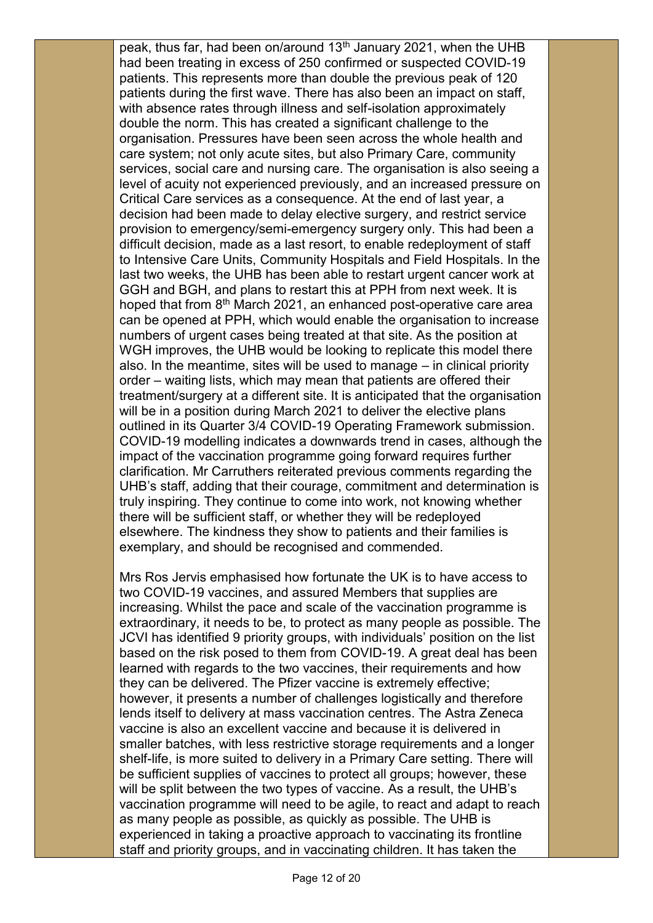peak, thus far, had been on/around 13<sup>th</sup> January 2021, when the UHB had been treating in excess of 250 confirmed or suspected COVID-19 patients. This represents more than double the previous peak of 120 patients during the first wave. There has also been an impact on staff, with absence rates through illness and self-isolation approximately double the norm. This has created a significant challenge to the organisation. Pressures have been seen across the whole health and care system; not only acute sites, but also Primary Care, community services, social care and nursing care. The organisation is also seeing a level of acuity not experienced previously, and an increased pressure on Critical Care services as a consequence. At the end of last year, a decision had been made to delay elective surgery, and restrict service provision to emergency/semi-emergency surgery only. This had been a difficult decision, made as a last resort, to enable redeployment of staff to Intensive Care Units, Community Hospitals and Field Hospitals. In the last two weeks, the UHB has been able to restart urgent cancer work at GGH and BGH, and plans to restart this at PPH from next week. It is hoped that from 8<sup>th</sup> March 2021, an enhanced post-operative care area can be opened at PPH, which would enable the organisation to increase numbers of urgent cases being treated at that site. As the position at WGH improves, the UHB would be looking to replicate this model there also. In the meantime, sites will be used to manage – in clinical priority order – waiting lists, which may mean that patients are offered their treatment/surgery at a different site. It is anticipated that the organisation will be in a position during March 2021 to deliver the elective plans outlined in its Quarter 3/4 COVID-19 Operating Framework submission. COVID-19 modelling indicates a downwards trend in cases, although the impact of the vaccination programme going forward requires further clarification. Mr Carruthers reiterated previous comments regarding the UHB's staff, adding that their courage, commitment and determination is truly inspiring. They continue to come into work, not knowing whether there will be sufficient staff, or whether they will be redeployed elsewhere. The kindness they show to patients and their families is exemplary, and should be recognised and commended.

Mrs Ros Jervis emphasised how fortunate the UK is to have access to two COVID-19 vaccines, and assured Members that supplies are increasing. Whilst the pace and scale of the vaccination programme is extraordinary, it needs to be, to protect as many people as possible. The JCVI has identified 9 priority groups, with individuals' position on the list based on the risk posed to them from COVID-19. A great deal has been learned with regards to the two vaccines, their requirements and how they can be delivered. The Pfizer vaccine is extremely effective; however, it presents a number of challenges logistically and therefore lends itself to delivery at mass vaccination centres. The Astra Zeneca vaccine is also an excellent vaccine and because it is delivered in smaller batches, with less restrictive storage requirements and a longer shelf-life, is more suited to delivery in a Primary Care setting. There will be sufficient supplies of vaccines to protect all groups; however, these will be split between the two types of vaccine. As a result, the UHB's vaccination programme will need to be agile, to react and adapt to reach as many people as possible, as quickly as possible. The UHB is experienced in taking a proactive approach to vaccinating its frontline staff and priority groups, and in vaccinating children. It has taken the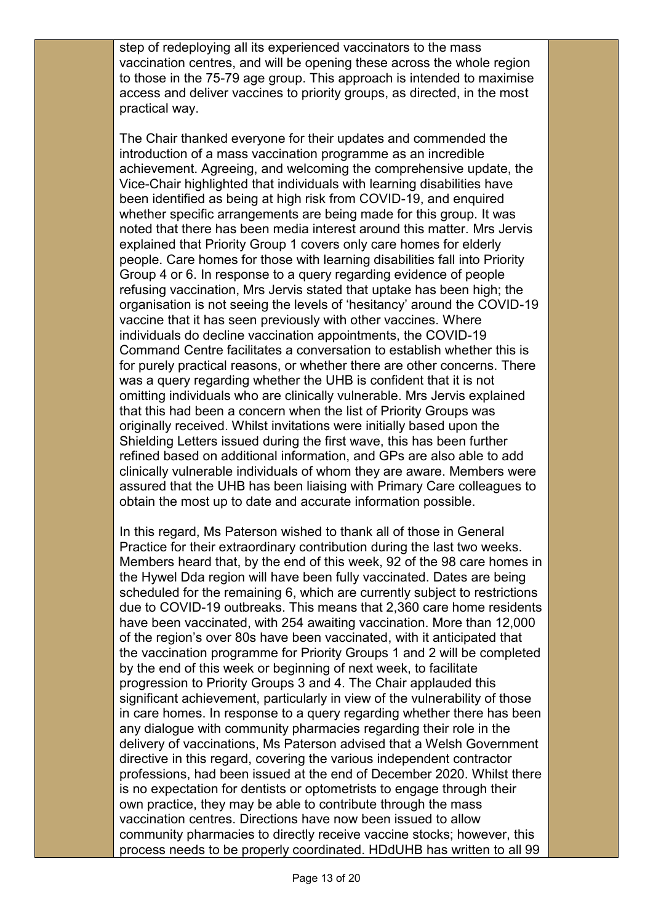step of redeploying all its experienced vaccinators to the mass vaccination centres, and will be opening these across the whole region to those in the 75-79 age group. This approach is intended to maximise access and deliver vaccines to priority groups, as directed, in the most practical way.

The Chair thanked everyone for their updates and commended the introduction of a mass vaccination programme as an incredible achievement. Agreeing, and welcoming the comprehensive update, the Vice-Chair highlighted that individuals with learning disabilities have been identified as being at high risk from COVID-19, and enquired whether specific arrangements are being made for this group. It was noted that there has been media interest around this matter. Mrs Jervis explained that Priority Group 1 covers only care homes for elderly people. Care homes for those with learning disabilities fall into Priority Group 4 or 6. In response to a query regarding evidence of people refusing vaccination, Mrs Jervis stated that uptake has been high; the organisation is not seeing the levels of 'hesitancy' around the COVID-19 vaccine that it has seen previously with other vaccines. Where individuals do decline vaccination appointments, the COVID-19 Command Centre facilitates a conversation to establish whether this is for purely practical reasons, or whether there are other concerns. There was a query regarding whether the UHB is confident that it is not omitting individuals who are clinically vulnerable. Mrs Jervis explained that this had been a concern when the list of Priority Groups was originally received. Whilst invitations were initially based upon the Shielding Letters issued during the first wave, this has been further refined based on additional information, and GPs are also able to add clinically vulnerable individuals of whom they are aware. Members were assured that the UHB has been liaising with Primary Care colleagues to obtain the most up to date and accurate information possible.

In this regard, Ms Paterson wished to thank all of those in General Practice for their extraordinary contribution during the last two weeks. Members heard that, by the end of this week, 92 of the 98 care homes in the Hywel Dda region will have been fully vaccinated. Dates are being scheduled for the remaining 6, which are currently subject to restrictions due to COVID-19 outbreaks. This means that 2,360 care home residents have been vaccinated, with 254 awaiting vaccination. More than 12,000 of the region's over 80s have been vaccinated, with it anticipated that the vaccination programme for Priority Groups 1 and 2 will be completed by the end of this week or beginning of next week, to facilitate progression to Priority Groups 3 and 4. The Chair applauded this significant achievement, particularly in view of the vulnerability of those in care homes. In response to a query regarding whether there has been any dialogue with community pharmacies regarding their role in the delivery of vaccinations, Ms Paterson advised that a Welsh Government directive in this regard, covering the various independent contractor professions, had been issued at the end of December 2020. Whilst there is no expectation for dentists or optometrists to engage through their own practice, they may be able to contribute through the mass vaccination centres. Directions have now been issued to allow community pharmacies to directly receive vaccine stocks; however, this process needs to be properly coordinated. HDdUHB has written to all 99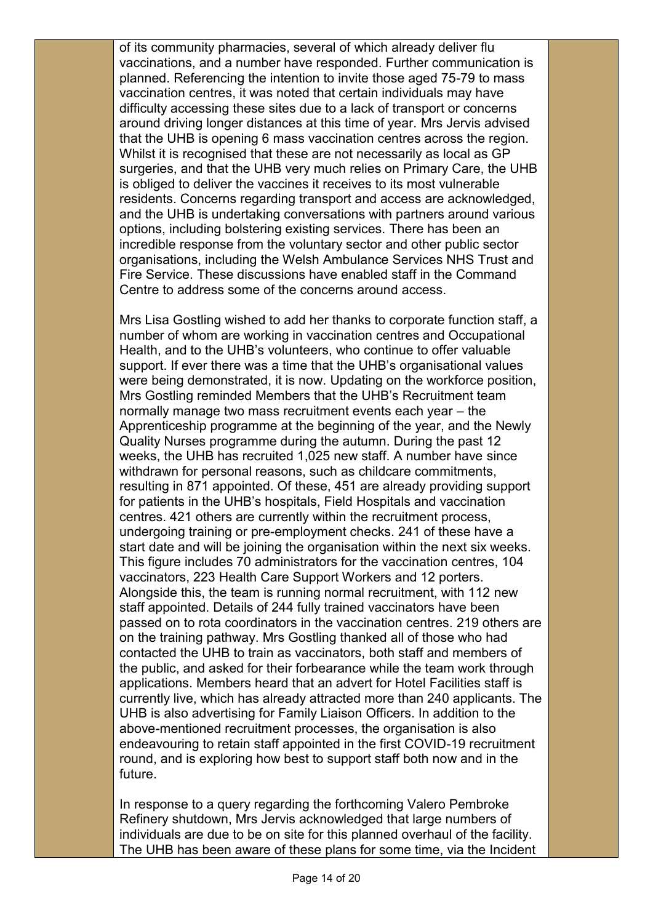of its community pharmacies, several of which already deliver flu vaccinations, and a number have responded. Further communication is planned. Referencing the intention to invite those aged 75-79 to mass vaccination centres, it was noted that certain individuals may have difficulty accessing these sites due to a lack of transport or concerns around driving longer distances at this time of year. Mrs Jervis advised that the UHB is opening 6 mass vaccination centres across the region. Whilst it is recognised that these are not necessarily as local as GP surgeries, and that the UHB very much relies on Primary Care, the UHB is obliged to deliver the vaccines it receives to its most vulnerable residents. Concerns regarding transport and access are acknowledged, and the UHB is undertaking conversations with partners around various options, including bolstering existing services. There has been an incredible response from the voluntary sector and other public sector organisations, including the Welsh Ambulance Services NHS Trust and Fire Service. These discussions have enabled staff in the Command Centre to address some of the concerns around access.

Mrs Lisa Gostling wished to add her thanks to corporate function staff, a number of whom are working in vaccination centres and Occupational Health, and to the UHB's volunteers, who continue to offer valuable support. If ever there was a time that the UHB's organisational values were being demonstrated, it is now. Updating on the workforce position, Mrs Gostling reminded Members that the UHB's Recruitment team normally manage two mass recruitment events each year – the Apprenticeship programme at the beginning of the year, and the Newly Quality Nurses programme during the autumn. During the past 12 weeks, the UHB has recruited 1,025 new staff. A number have since withdrawn for personal reasons, such as childcare commitments, resulting in 871 appointed. Of these, 451 are already providing support for patients in the UHB's hospitals, Field Hospitals and vaccination centres. 421 others are currently within the recruitment process, undergoing training or pre-employment checks. 241 of these have a start date and will be joining the organisation within the next six weeks. This figure includes 70 administrators for the vaccination centres, 104 vaccinators, 223 Health Care Support Workers and 12 porters. Alongside this, the team is running normal recruitment, with 112 new staff appointed. Details of 244 fully trained vaccinators have been passed on to rota coordinators in the vaccination centres. 219 others are on the training pathway. Mrs Gostling thanked all of those who had contacted the UHB to train as vaccinators, both staff and members of the public, and asked for their forbearance while the team work through applications. Members heard that an advert for Hotel Facilities staff is currently live, which has already attracted more than 240 applicants. The UHB is also advertising for Family Liaison Officers. In addition to the above-mentioned recruitment processes, the organisation is also endeavouring to retain staff appointed in the first COVID-19 recruitment round, and is exploring how best to support staff both now and in the future.

In response to a query regarding the forthcoming Valero Pembroke Refinery shutdown, Mrs Jervis acknowledged that large numbers of individuals are due to be on site for this planned overhaul of the facility. The UHB has been aware of these plans for some time, via the Incident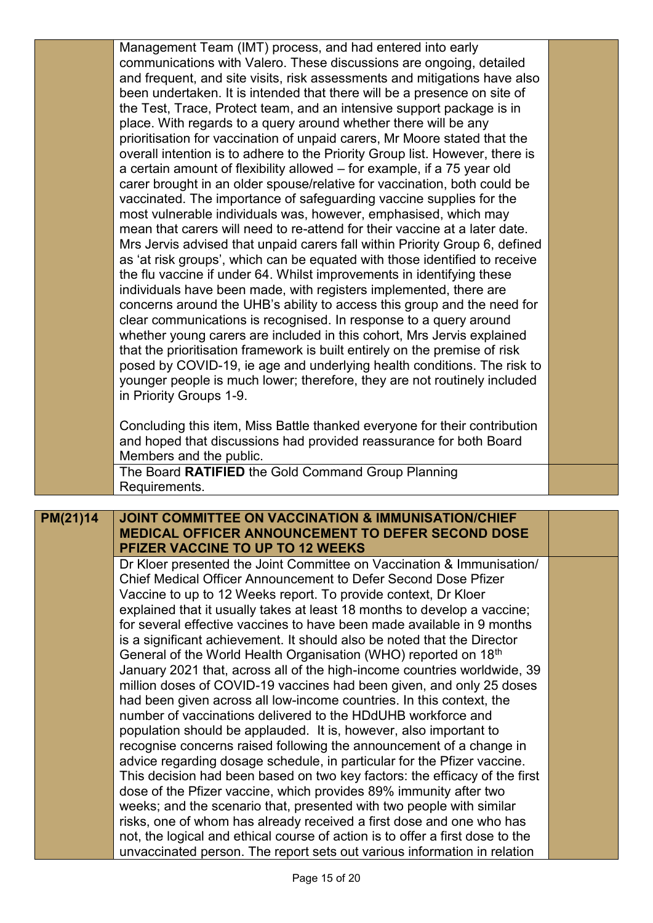|          | Management Team (IMT) process, and had entered into early                                                                                             |  |
|----------|-------------------------------------------------------------------------------------------------------------------------------------------------------|--|
|          | communications with Valero. These discussions are ongoing, detailed                                                                                   |  |
|          | and frequent, and site visits, risk assessments and mitigations have also                                                                             |  |
|          | been undertaken. It is intended that there will be a presence on site of                                                                              |  |
|          | the Test, Trace, Protect team, and an intensive support package is in                                                                                 |  |
|          | place. With regards to a query around whether there will be any                                                                                       |  |
|          | prioritisation for vaccination of unpaid carers, Mr Moore stated that the                                                                             |  |
|          | overall intention is to adhere to the Priority Group list. However, there is                                                                          |  |
|          | a certain amount of flexibility allowed - for example, if a 75 year old                                                                               |  |
|          | carer brought in an older spouse/relative for vaccination, both could be                                                                              |  |
|          | vaccinated. The importance of safeguarding vaccine supplies for the                                                                                   |  |
|          | most vulnerable individuals was, however, emphasised, which may                                                                                       |  |
|          | mean that carers will need to re-attend for their vaccine at a later date.                                                                            |  |
|          | Mrs Jervis advised that unpaid carers fall within Priority Group 6, defined                                                                           |  |
|          | as 'at risk groups', which can be equated with those identified to receive                                                                            |  |
|          | the flu vaccine if under 64. Whilst improvements in identifying these                                                                                 |  |
|          | individuals have been made, with registers implemented, there are                                                                                     |  |
|          | concerns around the UHB's ability to access this group and the need for                                                                               |  |
|          | clear communications is recognised. In response to a query around                                                                                     |  |
|          | whether young carers are included in this cohort, Mrs Jervis explained                                                                                |  |
|          | that the prioritisation framework is built entirely on the premise of risk                                                                            |  |
|          | posed by COVID-19, ie age and underlying health conditions. The risk to                                                                               |  |
|          | younger people is much lower; therefore, they are not routinely included                                                                              |  |
|          | in Priority Groups 1-9.                                                                                                                               |  |
|          |                                                                                                                                                       |  |
|          | Concluding this item, Miss Battle thanked everyone for their contribution                                                                             |  |
|          | and hoped that discussions had provided reassurance for both Board                                                                                    |  |
|          | Members and the public.                                                                                                                               |  |
|          | The Board RATIFIED the Gold Command Group Planning                                                                                                    |  |
|          | Requirements.                                                                                                                                         |  |
|          |                                                                                                                                                       |  |
| PM(21)14 | <b>JOINT COMMITTEE ON VACCINATION &amp; IMMUNISATION/CHIEF</b>                                                                                        |  |
|          | MEDICAL OFFICER ANNOUNCEMENT TO DEFER SECOND DOSE                                                                                                     |  |
|          | PFIZER VACCINE TO UP TO 12 WEEKS                                                                                                                      |  |
|          | Dr Kloer presented the Joint Committee on Vaccination & Immunisation/                                                                                 |  |
|          | Chief Medical Officer Announcement to Defer Second Dose Pfizer                                                                                        |  |
|          | Vaccine to up to 12 Weeks report. To provide context, Dr Kloer                                                                                        |  |
|          | explained that it usually takes at least 18 months to develop a vaccine;                                                                              |  |
|          | for several effective vaccines to have been made available in 9 months                                                                                |  |
|          | is a significant achievement. It should also be noted that the Director                                                                               |  |
|          | General of the World Health Organisation (WHO) reported on 18 <sup>th</sup>                                                                           |  |
|          | January 2021 that, across all of the high-income countries worldwide, 39                                                                              |  |
|          | million doses of COVID-19 vaccines had been given, and only 25 doses                                                                                  |  |
|          | had been given across all low-income countries. In this context, the                                                                                  |  |
|          | number of vaccinations delivered to the HDdUHB workforce and                                                                                          |  |
|          | population should be applauded. It is, however, also important to                                                                                     |  |
|          | recognise concerns raised following the announcement of a change in                                                                                   |  |
|          | advice regarding dosage schedule, in particular for the Pfizer vaccine.                                                                               |  |
|          | This decision had been based on two key factors: the efficacy of the first                                                                            |  |
|          | dose of the Pfizer vaccine, which provides 89% immunity after two                                                                                     |  |
|          | weeks; and the scenario that, presented with two people with similar                                                                                  |  |
|          | risks, one of whom has already received a first dose and one who has<br>not, the logical and ethical course of action is to offer a first dose to the |  |
|          |                                                                                                                                                       |  |
|          | unvaccinated person. The report sets out various information in relation                                                                              |  |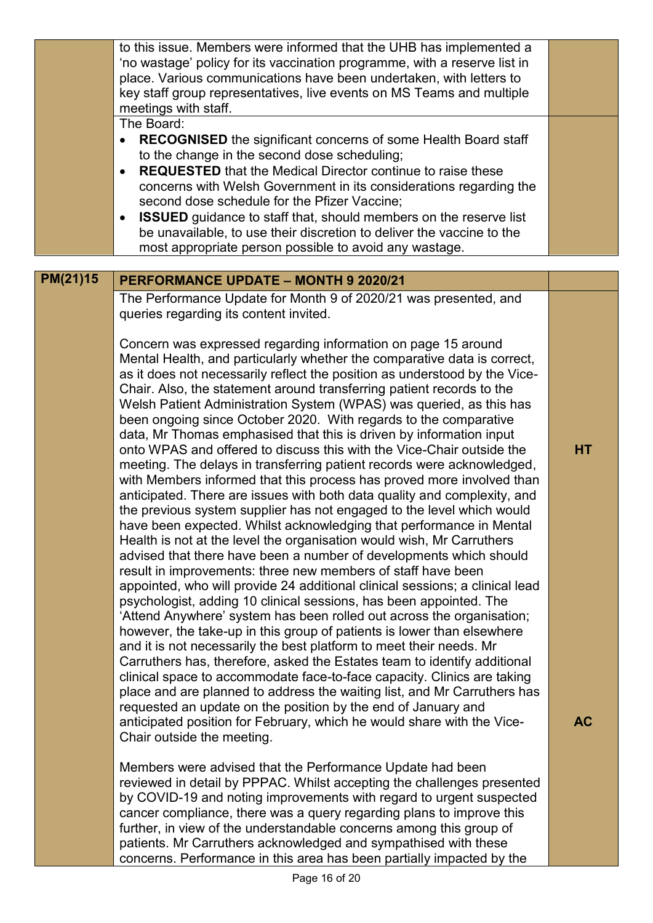|          | to this issue. Members were informed that the UHB has implemented a<br>'no wastage' policy for its vaccination programme, with a reserve list in<br>place. Various communications have been undertaken, with letters to<br>key staff group representatives, live events on MS Teams and multiple<br>meetings with staff.<br>The Board:<br><b>RECOGNISED</b> the significant concerns of some Health Board staff<br>$\bullet$<br>to the change in the second dose scheduling;<br><b>REQUESTED</b> that the Medical Director continue to raise these<br>$\bullet$<br>concerns with Welsh Government in its considerations regarding the<br>second dose schedule for the Pfizer Vaccine;<br><b>ISSUED</b> guidance to staff that, should members on the reserve list<br>$\bullet$<br>be unavailable, to use their discretion to deliver the vaccine to the<br>most appropriate person possible to avoid any wastage.                                                                                                                                                                                                                                                                                                                                                                                                                                                                                                                                                                                                                                                                                                                                               |           |
|----------|-----------------------------------------------------------------------------------------------------------------------------------------------------------------------------------------------------------------------------------------------------------------------------------------------------------------------------------------------------------------------------------------------------------------------------------------------------------------------------------------------------------------------------------------------------------------------------------------------------------------------------------------------------------------------------------------------------------------------------------------------------------------------------------------------------------------------------------------------------------------------------------------------------------------------------------------------------------------------------------------------------------------------------------------------------------------------------------------------------------------------------------------------------------------------------------------------------------------------------------------------------------------------------------------------------------------------------------------------------------------------------------------------------------------------------------------------------------------------------------------------------------------------------------------------------------------------------------------------------------------------------------------------------------------|-----------|
|          |                                                                                                                                                                                                                                                                                                                                                                                                                                                                                                                                                                                                                                                                                                                                                                                                                                                                                                                                                                                                                                                                                                                                                                                                                                                                                                                                                                                                                                                                                                                                                                                                                                                                 |           |
| PM(21)15 | PERFORMANCE UPDATE - MONTH 9 2020/21                                                                                                                                                                                                                                                                                                                                                                                                                                                                                                                                                                                                                                                                                                                                                                                                                                                                                                                                                                                                                                                                                                                                                                                                                                                                                                                                                                                                                                                                                                                                                                                                                            |           |
|          | The Performance Update for Month 9 of 2020/21 was presented, and<br>queries regarding its content invited.<br>Concern was expressed regarding information on page 15 around<br>Mental Health, and particularly whether the comparative data is correct,                                                                                                                                                                                                                                                                                                                                                                                                                                                                                                                                                                                                                                                                                                                                                                                                                                                                                                                                                                                                                                                                                                                                                                                                                                                                                                                                                                                                         |           |
|          | as it does not necessarily reflect the position as understood by the Vice-<br>Chair. Also, the statement around transferring patient records to the<br>Welsh Patient Administration System (WPAS) was queried, as this has<br>been ongoing since October 2020. With regards to the comparative<br>data, Mr Thomas emphasised that this is driven by information input<br>onto WPAS and offered to discuss this with the Vice-Chair outside the<br>meeting. The delays in transferring patient records were acknowledged,<br>with Members informed that this process has proved more involved than<br>anticipated. There are issues with both data quality and complexity, and<br>the previous system supplier has not engaged to the level which would<br>have been expected. Whilst acknowledging that performance in Mental<br>Health is not at the level the organisation would wish, Mr Carruthers<br>advised that there have been a number of developments which should<br>result in improvements: three new members of staff have been<br>appointed, who will provide 24 additional clinical sessions; a clinical lead<br>psychologist, adding 10 clinical sessions, has been appointed. The<br>'Attend Anywhere' system has been rolled out across the organisation;<br>however, the take-up in this group of patients is lower than elsewhere<br>and it is not necessarily the best platform to meet their needs. Mr<br>Carruthers has, therefore, asked the Estates team to identify additional<br>clinical space to accommodate face-to-face capacity. Clinics are taking<br>place and are planned to address the waiting list, and Mr Carruthers has | <b>HT</b> |
|          | requested an update on the position by the end of January and<br>anticipated position for February, which he would share with the Vice-<br>Chair outside the meeting.                                                                                                                                                                                                                                                                                                                                                                                                                                                                                                                                                                                                                                                                                                                                                                                                                                                                                                                                                                                                                                                                                                                                                                                                                                                                                                                                                                                                                                                                                           | <b>AC</b> |
|          | Members were advised that the Performance Update had been<br>reviewed in detail by PPPAC. Whilst accepting the challenges presented<br>by COVID-19 and noting improvements with regard to urgent suspected<br>cancer compliance, there was a query regarding plans to improve this<br>further, in view of the understandable concerns among this group of<br>patients. Mr Carruthers acknowledged and sympathised with these<br>concerns. Performance in this area has been partially impacted by the                                                                                                                                                                                                                                                                                                                                                                                                                                                                                                                                                                                                                                                                                                                                                                                                                                                                                                                                                                                                                                                                                                                                                           |           |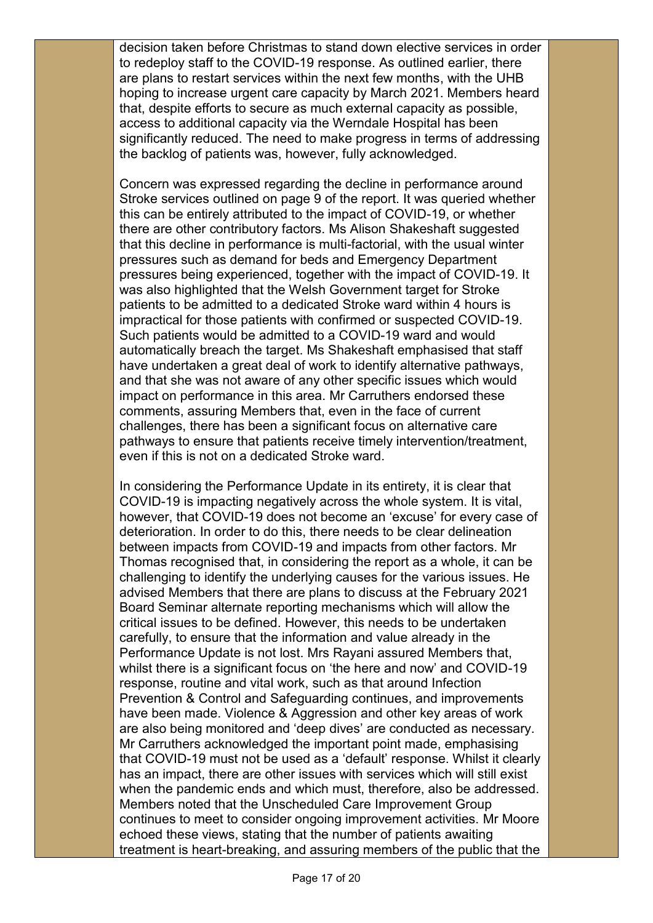decision taken before Christmas to stand down elective services in order to redeploy staff to the COVID-19 response. As outlined earlier, there are plans to restart services within the next few months, with the UHB hoping to increase urgent care capacity by March 2021. Members heard that, despite efforts to secure as much external capacity as possible, access to additional capacity via the Werndale Hospital has been significantly reduced. The need to make progress in terms of addressing the backlog of patients was, however, fully acknowledged.

Concern was expressed regarding the decline in performance around Stroke services outlined on page 9 of the report. It was queried whether this can be entirely attributed to the impact of COVID-19, or whether there are other contributory factors. Ms Alison Shakeshaft suggested that this decline in performance is multi-factorial, with the usual winter pressures such as demand for beds and Emergency Department pressures being experienced, together with the impact of COVID-19. It was also highlighted that the Welsh Government target for Stroke patients to be admitted to a dedicated Stroke ward within 4 hours is impractical for those patients with confirmed or suspected COVID-19. Such patients would be admitted to a COVID-19 ward and would automatically breach the target. Ms Shakeshaft emphasised that staff have undertaken a great deal of work to identify alternative pathways, and that she was not aware of any other specific issues which would impact on performance in this area. Mr Carruthers endorsed these comments, assuring Members that, even in the face of current challenges, there has been a significant focus on alternative care pathways to ensure that patients receive timely intervention/treatment, even if this is not on a dedicated Stroke ward.

In considering the Performance Update in its entirety, it is clear that COVID-19 is impacting negatively across the whole system. It is vital, however, that COVID-19 does not become an 'excuse' for every case of deterioration. In order to do this, there needs to be clear delineation between impacts from COVID-19 and impacts from other factors. Mr Thomas recognised that, in considering the report as a whole, it can be challenging to identify the underlying causes for the various issues. He advised Members that there are plans to discuss at the February 2021 Board Seminar alternate reporting mechanisms which will allow the critical issues to be defined. However, this needs to be undertaken carefully, to ensure that the information and value already in the Performance Update is not lost. Mrs Rayani assured Members that, whilst there is a significant focus on 'the here and now' and COVID-19 response, routine and vital work, such as that around Infection Prevention & Control and Safeguarding continues, and improvements have been made. Violence & Aggression and other key areas of work are also being monitored and 'deep dives' are conducted as necessary. Mr Carruthers acknowledged the important point made, emphasising that COVID-19 must not be used as a 'default' response. Whilst it clearly has an impact, there are other issues with services which will still exist when the pandemic ends and which must, therefore, also be addressed. Members noted that the Unscheduled Care Improvement Group continues to meet to consider ongoing improvement activities. Mr Moore echoed these views, stating that the number of patients awaiting treatment is heart-breaking, and assuring members of the public that the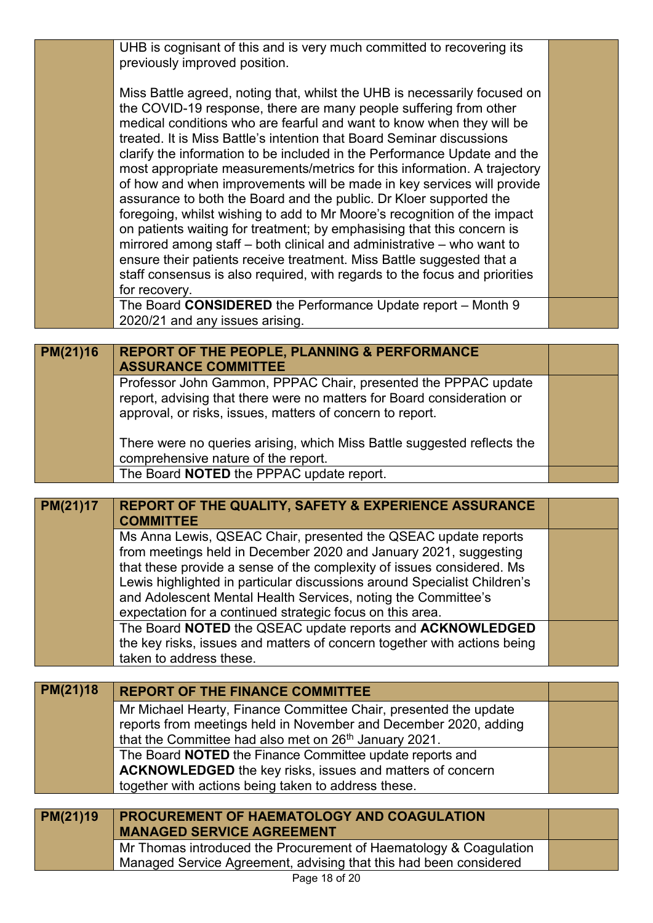|          | UHB is cognisant of this and is very much committed to recovering its<br>previously improved position.                                                                                                                                                                                                                                                                                                                                                                                                                                                                                                                                                                                                                                                                                                                                                                                                                                                                                                          |  |
|----------|-----------------------------------------------------------------------------------------------------------------------------------------------------------------------------------------------------------------------------------------------------------------------------------------------------------------------------------------------------------------------------------------------------------------------------------------------------------------------------------------------------------------------------------------------------------------------------------------------------------------------------------------------------------------------------------------------------------------------------------------------------------------------------------------------------------------------------------------------------------------------------------------------------------------------------------------------------------------------------------------------------------------|--|
|          | Miss Battle agreed, noting that, whilst the UHB is necessarily focused on<br>the COVID-19 response, there are many people suffering from other<br>medical conditions who are fearful and want to know when they will be<br>treated. It is Miss Battle's intention that Board Seminar discussions<br>clarify the information to be included in the Performance Update and the<br>most appropriate measurements/metrics for this information. A trajectory<br>of how and when improvements will be made in key services will provide<br>assurance to both the Board and the public. Dr Kloer supported the<br>foregoing, whilst wishing to add to Mr Moore's recognition of the impact<br>on patients waiting for treatment; by emphasising that this concern is<br>mirrored among staff – both clinical and administrative – who want to<br>ensure their patients receive treatment. Miss Battle suggested that a<br>staff consensus is also required, with regards to the focus and priorities<br>for recovery. |  |
|          | The Board CONSIDERED the Performance Update report - Month 9<br>2020/21 and any issues arising.                                                                                                                                                                                                                                                                                                                                                                                                                                                                                                                                                                                                                                                                                                                                                                                                                                                                                                                 |  |
| PM(21)16 | <b>REPORT OF THE PEOPLE, PLANNING &amp; PERFORMANCE</b>                                                                                                                                                                                                                                                                                                                                                                                                                                                                                                                                                                                                                                                                                                                                                                                                                                                                                                                                                         |  |
|          | <b>ASSURANCE COMMITTEE</b>                                                                                                                                                                                                                                                                                                                                                                                                                                                                                                                                                                                                                                                                                                                                                                                                                                                                                                                                                                                      |  |
|          | Professor John Gammon, PPPAC Chair, presented the PPPAC update<br>report, advising that there were no matters for Board consideration or<br>approval, or risks, issues, matters of concern to report.                                                                                                                                                                                                                                                                                                                                                                                                                                                                                                                                                                                                                                                                                                                                                                                                           |  |
|          | There were no queries arising, which Miss Battle suggested reflects the<br>comprehensive nature of the report.                                                                                                                                                                                                                                                                                                                                                                                                                                                                                                                                                                                                                                                                                                                                                                                                                                                                                                  |  |
|          | The Board NOTED the PPPAC update report.                                                                                                                                                                                                                                                                                                                                                                                                                                                                                                                                                                                                                                                                                                                                                                                                                                                                                                                                                                        |  |
| PM(21)17 | REPORT OF THE QUALITY, SAFETY & EXPERIENCE ASSURANCE                                                                                                                                                                                                                                                                                                                                                                                                                                                                                                                                                                                                                                                                                                                                                                                                                                                                                                                                                            |  |
|          | <b>COMMITTEE</b>                                                                                                                                                                                                                                                                                                                                                                                                                                                                                                                                                                                                                                                                                                                                                                                                                                                                                                                                                                                                |  |
|          | Ms Anna Lewis, QSEAC Chair, presented the QSEAC update reports<br>from meetings held in December 2020 and January 2021, suggesting<br>that these provide a sense of the complexity of issues considered. Ms<br>Lewis highlighted in particular discussions around Specialist Children's                                                                                                                                                                                                                                                                                                                                                                                                                                                                                                                                                                                                                                                                                                                         |  |
|          | and Adolescent Mental Health Services, noting the Committee's<br>expectation for a continued strategic focus on this area.                                                                                                                                                                                                                                                                                                                                                                                                                                                                                                                                                                                                                                                                                                                                                                                                                                                                                      |  |
|          | The Board NOTED the QSEAC update reports and ACKNOWLEDGED<br>the key risks, issues and matters of concern together with actions being<br>taken to address these.                                                                                                                                                                                                                                                                                                                                                                                                                                                                                                                                                                                                                                                                                                                                                                                                                                                |  |
|          |                                                                                                                                                                                                                                                                                                                                                                                                                                                                                                                                                                                                                                                                                                                                                                                                                                                                                                                                                                                                                 |  |
| PM(21)18 | <b>REPORT OF THE FINANCE COMMITTEE</b>                                                                                                                                                                                                                                                                                                                                                                                                                                                                                                                                                                                                                                                                                                                                                                                                                                                                                                                                                                          |  |
|          | Mr Michael Hearty, Finance Committee Chair, presented the update<br>reports from meetings held in November and December 2020, adding<br>that the Committee had also met on 26 <sup>th</sup> January 2021.                                                                                                                                                                                                                                                                                                                                                                                                                                                                                                                                                                                                                                                                                                                                                                                                       |  |
|          | The Board NOTED the Finance Committee update reports and<br>ACKNOWLEDGED the key risks, issues and matters of concern<br>together with actions being taken to address these.                                                                                                                                                                                                                                                                                                                                                                                                                                                                                                                                                                                                                                                                                                                                                                                                                                    |  |
|          |                                                                                                                                                                                                                                                                                                                                                                                                                                                                                                                                                                                                                                                                                                                                                                                                                                                                                                                                                                                                                 |  |
| PM(21)19 | PROCUREMENT OF HAEMATOLOGY AND COAGULATION<br><b>MANAGED SERVICE AGREEMENT</b>                                                                                                                                                                                                                                                                                                                                                                                                                                                                                                                                                                                                                                                                                                                                                                                                                                                                                                                                  |  |
|          | Mr Thomas introduced the Procurement of Haematology & Coagulation                                                                                                                                                                                                                                                                                                                                                                                                                                                                                                                                                                                                                                                                                                                                                                                                                                                                                                                                               |  |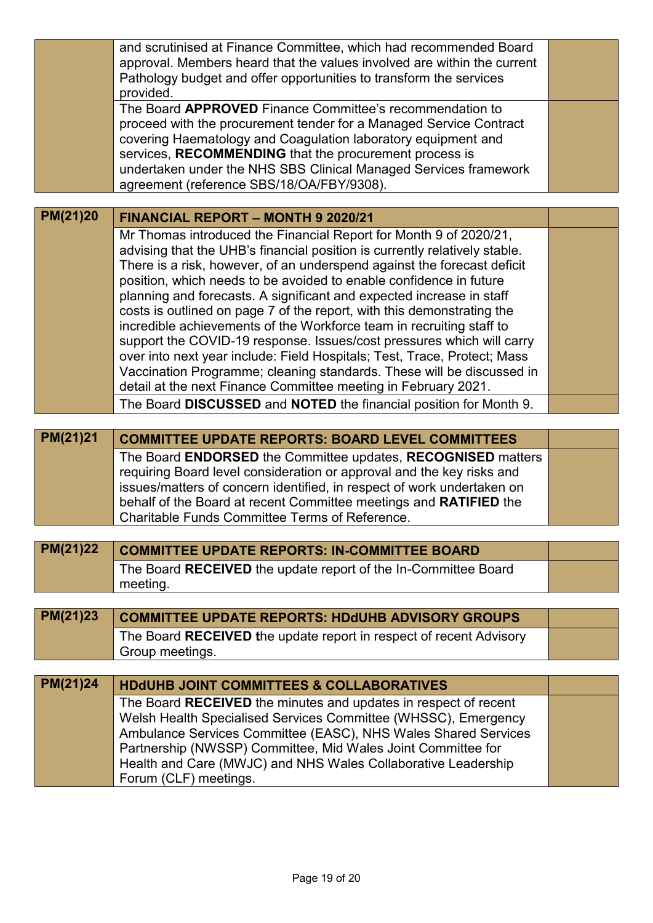|          | and scrutinised at Finance Committee, which had recommended Board<br>approval. Members heard that the values involved are within the current<br>Pathology budget and offer opportunities to transform the services                                                                                                                                                                                                                                                                                                                                                                                                                                                                                                                                                                                                                                                                              |  |
|----------|-------------------------------------------------------------------------------------------------------------------------------------------------------------------------------------------------------------------------------------------------------------------------------------------------------------------------------------------------------------------------------------------------------------------------------------------------------------------------------------------------------------------------------------------------------------------------------------------------------------------------------------------------------------------------------------------------------------------------------------------------------------------------------------------------------------------------------------------------------------------------------------------------|--|
|          | provided.<br>The Board APPROVED Finance Committee's recommendation to<br>proceed with the procurement tender for a Managed Service Contract<br>covering Haematology and Coagulation laboratory equipment and<br>services, RECOMMENDING that the procurement process is<br>undertaken under the NHS SBS Clinical Managed Services framework<br>agreement (reference SBS/18/OA/FBY/9308).                                                                                                                                                                                                                                                                                                                                                                                                                                                                                                         |  |
|          |                                                                                                                                                                                                                                                                                                                                                                                                                                                                                                                                                                                                                                                                                                                                                                                                                                                                                                 |  |
| PM(21)20 | <b>FINANCIAL REPORT - MONTH 9 2020/21</b>                                                                                                                                                                                                                                                                                                                                                                                                                                                                                                                                                                                                                                                                                                                                                                                                                                                       |  |
|          | Mr Thomas introduced the Financial Report for Month 9 of 2020/21,<br>advising that the UHB's financial position is currently relatively stable.<br>There is a risk, however, of an underspend against the forecast deficit<br>position, which needs to be avoided to enable confidence in future<br>planning and forecasts. A significant and expected increase in staff<br>costs is outlined on page 7 of the report, with this demonstrating the<br>incredible achievements of the Workforce team in recruiting staff to<br>support the COVID-19 response. Issues/cost pressures which will carry<br>over into next year include: Field Hospitals; Test, Trace, Protect; Mass<br>Vaccination Programme; cleaning standards. These will be discussed in<br>detail at the next Finance Committee meeting in February 2021.<br>The Board DISCUSSED and NOTED the financial position for Month 9. |  |
| PM(21)21 | <b>COMMITTEE UPDATE REPORTS: BOARD LEVEL COMMITTEES</b>                                                                                                                                                                                                                                                                                                                                                                                                                                                                                                                                                                                                                                                                                                                                                                                                                                         |  |
|          | The Board ENDORSED the Committee updates, RECOGNISED matters<br>requiring Board level consideration or approval and the key risks and<br>issues/matters of concern identified, in respect of work undertaken on<br>behalf of the Board at recent Committee meetings and RATIFIED the<br>Charitable Funds Committee Terms of Reference.                                                                                                                                                                                                                                                                                                                                                                                                                                                                                                                                                          |  |
|          |                                                                                                                                                                                                                                                                                                                                                                                                                                                                                                                                                                                                                                                                                                                                                                                                                                                                                                 |  |
| PM(21)22 | <b>COMMITTEE UPDATE REPORTS: IN-COMMITTEE BOARD</b><br>The Board RECEIVED the update report of the In-Committee Board<br>meeting.                                                                                                                                                                                                                                                                                                                                                                                                                                                                                                                                                                                                                                                                                                                                                               |  |
|          |                                                                                                                                                                                                                                                                                                                                                                                                                                                                                                                                                                                                                                                                                                                                                                                                                                                                                                 |  |
| PM(21)23 | <b>COMMITTEE UPDATE REPORTS: HDdUHB ADVISORY GROUPS</b><br>The Board RECEIVED the update report in respect of recent Advisory<br>Group meetings.                                                                                                                                                                                                                                                                                                                                                                                                                                                                                                                                                                                                                                                                                                                                                |  |
|          |                                                                                                                                                                                                                                                                                                                                                                                                                                                                                                                                                                                                                                                                                                                                                                                                                                                                                                 |  |
| PM(21)24 | <b>HDdUHB JOINT COMMITTEES &amp; COLLABORATIVES</b>                                                                                                                                                                                                                                                                                                                                                                                                                                                                                                                                                                                                                                                                                                                                                                                                                                             |  |
|          | The Board RECEIVED the minutes and updates in respect of recent<br>Welsh Health Specialised Services Committee (WHSSC), Emergency<br>Ambulance Services Committee (EASC), NHS Wales Shared Services<br>Partnership (NWSSP) Committee, Mid Wales Joint Committee for<br>Health and Care (MWJC) and NHS Wales Collaborative Leadership<br>Forum (CLF) meetings.                                                                                                                                                                                                                                                                                                                                                                                                                                                                                                                                   |  |